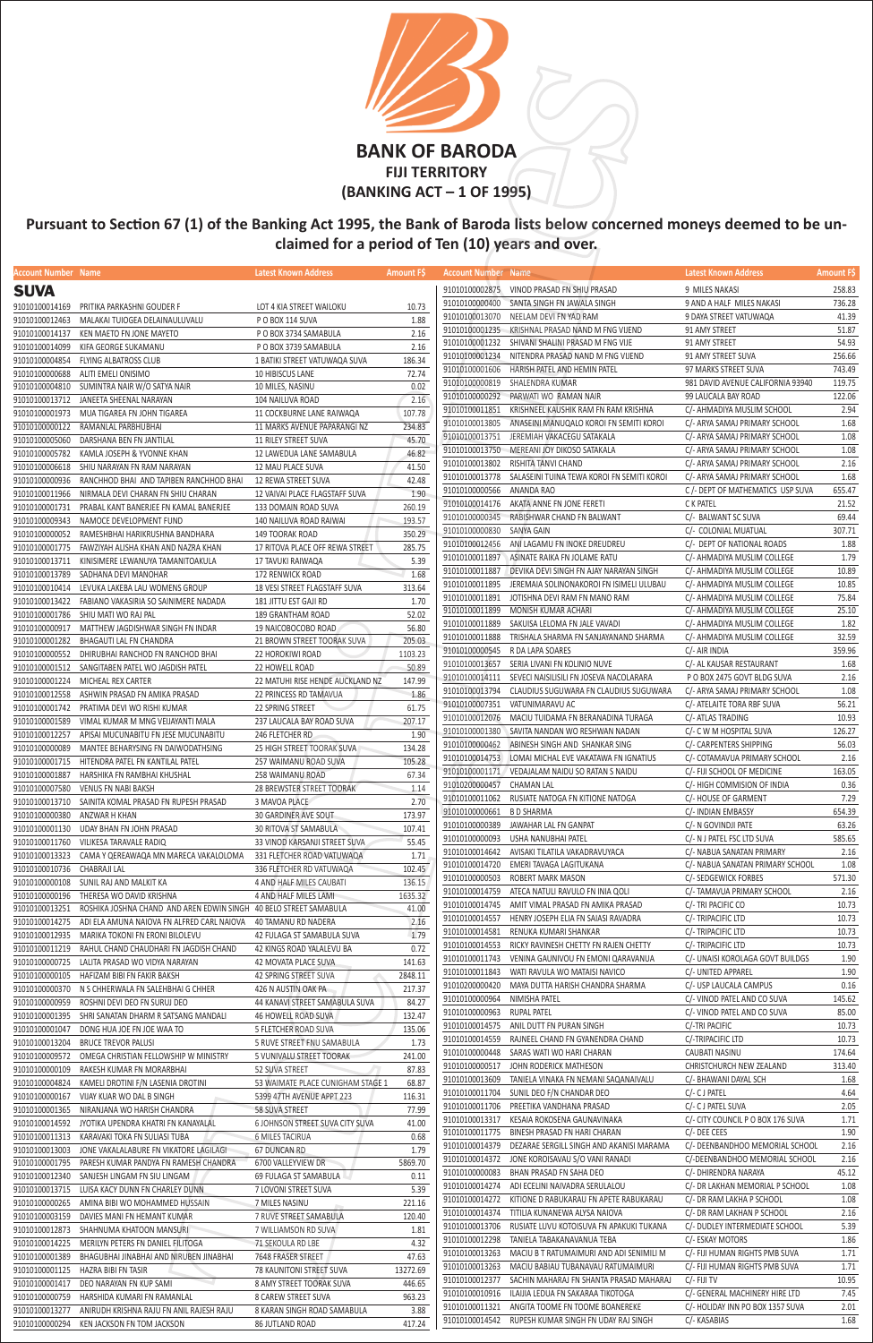| Account Number Name          |                                                                   | Latest Known Address              | <b>Amount FS</b> | <b>Account Number Name</b> |                                                           | Latest Known Address              | <b>Amount FS</b> |
|------------------------------|-------------------------------------------------------------------|-----------------------------------|------------------|----------------------------|-----------------------------------------------------------|-----------------------------------|------------------|
| <b>SUVA</b>                  |                                                                   |                                   |                  |                            | 91010100002875 VINOD PRASAD FN SHIU PRASAD                | 9 MILES NAKASI                    | 258.83           |
|                              |                                                                   |                                   |                  | 91010100000400             | SANTA SINGH FN JAWALA SINGH                               | 9 AND A HALF MILES NAKASI         | 736.28           |
|                              | 91010100014169 PRITIKA PARKASHNI GOUDER F                         | LOT 4 KIA STREET WAILOKU          | 10.73            |                            |                                                           |                                   |                  |
| 91010100012463               | MALAKAI TUIOGEA DELAINAULUVALU                                    | P O BOX 114 SUVA                  | 1.88             | 91010100013070             | NEELAM DEVI FN YAD RAM                                    | 9 DAYA STREET VATUWAQA            | 41.39            |
| 91010100014137               | KEN MAETO FN JONE MAYETO                                          | P O BOX 3734 SAMABULA             | 2.16             | 91010100001235             | KRISHNAL PRASAD NAND M FNG VIJEND                         | 91 AMY STREET                     | 51.87            |
| 91010100014099               | KIFA GEORGE SUKAMANU                                              | P O BOX 3739 SAMABULA             | 2.16             | 91010100001232             | SHIVANI SHALINI PRASAD M FNG VIJE                         | 91 AMY STREET                     | 54.93            |
|                              | 91010100004854 FLYING ALBATROSS CLUB                              | 1 BATIKI STREET VATUWAQA SUVA     | 186.34           | 91010100001234             | NITENDRA PRASAD NAND M FNG VIJEND                         | 91 AMY STREET SUVA                | 256.66           |
|                              | 91010100000688 ALITI EMELI ONISIMO                                | 10 HIBISCUS LANE                  | 72.74            | 91010100001606             | HARISH PATEL AND HEMIN PATEL                              | 97 MARKS STREET SUVA              | 743.49           |
|                              | 91010100004810 SUMINTRA NAIR W/O SATYA NAIR                       | 10 MILES, NASINU                  | 0.02             | 91010100000819             | SHALENDRA KUMAR                                           | 981 DAVID AVENUE CALIFORNIA 93940 | 119.75           |
|                              |                                                                   |                                   |                  | 91010100000292             | PARWATI WO RAMAN NAIR                                     | 99 LAUCALA BAY ROAD               | 122.06           |
| 91010100013712               | JANEETA SHEENAL NARAYAN                                           | 104 NAILUVA ROAD                  | 2.16             | 91010100011851             | KRISHNEEL KAUSHIK RAM FN RAM KRISHNA                      | C/- AHMADIYA MUSLIM SCHOOL        | 2.94             |
| 91010100001973               | MUA TIGAREA FN JOHN TIGAREA                                       | 11 COCKBURNE LANE RAIWAQA         | 107.78           |                            |                                                           |                                   | 1.68             |
|                              | 91010100000122 RAMANLAL PARBHUBHAI                                | 11 MARKS AVENUE PAPARANGI NZ      | 234.83           | 91010100013805             | ANASEINI MANUQALO KOROI FN SEMITI KOROI                   | C/- ARYA SAMAJ PRIMARY SCHOOL     |                  |
| 91010100005060               | DARSHANA BEN FN JANTILAL                                          | <b>11 RILEY STREET SUVA</b>       | 45.70            | 91010100013751             | JEREMIAH VAKACEGU SATAKALA                                | C/- ARYA SAMAJ PRIMARY SCHOOL     | 1.08             |
|                              | 91010100005782 KAMLA JOSEPH & YVONNE KHAN                         | 12 LAWEDUA LANE SAMABULA          | 46.82            | 91010100013750             | MEREANI JOY DIKOSO SATAKALA                               | C/- ARYA SAMAJ PRIMARY SCHOOL     | 1.08             |
|                              | 91010100006618 SHIU NARAYAN FN RAM NARAYAN                        | 12 MAU PLACE SUVA                 | 41.50            | 91010100013802             | RISHITA TANVI CHAND                                       | C/- ARYA SAMAJ PRIMARY SCHOOL     | 2.16             |
|                              | 91010100000936 RANCHHOD BHAI AND TAPIBEN RANCHHOD BHAI            | 12 REWA STREET SUVA               | 42.48            |                            | 91010100013778 SALASEINI TUINA TEWA KOROI FN SEMITI KOROI | C/- ARYA SAMAJ PRIMARY SCHOOL     | 1.68             |
| 91010100011966               | NIRMALA DEVI CHARAN FN SHIU CHARAN                                | 12 VAIVAI PLACE FLAGSTAFF SUVA    | 1.90             | 91010100000566             | ANANDA RAO                                                | C /- DEPT OF MATHEMATICS USP SUVA | 655.47           |
|                              |                                                                   |                                   |                  |                            | 91010100014176 AKATA ANNE FN JONE FERETI                  | C K PATEL                         | 21.52            |
| 91010100001731               | PRABAL KANT BANERJEE FN KAMAL BANERJEE                            | 133 DOMAIN ROAD SUVA              | 260.19           |                            | 91010100000345 RABISHWAR CHAND FN BALWANT                 | C/- BALWANT SC SUVA               | 69.44            |
| 91010100009343               | NAMOCE DEVELOPMENT FUND                                           | 140 NAILUVA ROAD RAIWAI           | 193.57           | 91010100000830 SANYA GAIN  |                                                           | C/- COLONIAL MUATUAL              | 307.71           |
|                              | 91010100000052 RAMESHBHAI HARIKRUSHNA BANDHARA                    | 149 TOORAK ROAD                   | 350.29           |                            | ANI LAGAMU FN INOKE DREUDREU                              |                                   |                  |
| 91010100001775               | FAWZIYAH ALISHA KHAN AND NAZRA KHAN                               | 17 RITOVA PLACE OFF REWA STREET   | 285.75           | 91010100012456             |                                                           | C/- DEPT OF NATIONAL ROADS        | 1.88             |
|                              | 91010100013711 KINISIMERE LEWANUYA TAMANITOAKULA                  | 17 TAVUKI RAIWAQA                 | 5.39             | 91010100011897             | ASINATE RAIKA FN JOLAME RATU                              | C/- AHMADIYA MUSLIM COLLEGE       | 1.79             |
|                              | 91010100013789 SADHANA DEVI MANOHAR                               | 172 RENWICK ROAD                  | 1.68             | 91010100011887             | DEVIKA DEVI SINGH FN AJAY NARAYAN SINGH                   | C/- AHMADIYA MUSLIM COLLEGE       | 10.89            |
|                              | 91010100010414 LEVUKA LAKEBA LAU WOMENS GROUP                     | 18 VESI STREET FLAGSTAFF SUVA     | 313.64           | 91010100011895             | JEREMAIA SOLINONAKOROI FN ISIMELI ULUBAU                  | C/- AHMADIYA MUSLIM COLLEGE       | 10.85            |
|                              | 91010100013422    FABIANO VAKASIRIA SO SAINIMERE NADADA           | 181 JITTU EST GAJI RD             | 1.70             | 91010100011891             | JOTISHNA DEVI RAM FN MANO RAM                             | C/- AHMADIYA MUSLIM COLLEGE       | 75.84            |
|                              | 91010100001786 SHIU MATI WO RAJ PAL                               | 189 GRANTHAM ROAD                 | 52.02            | 91010100011899             | MONISH KUMAR ACHARI                                       | C/- AHMADIYA MUSLIM COLLEGE       | 25.10            |
|                              |                                                                   |                                   |                  | 91010100011889             | SAKUISA LELOMA FN JALE VAVADI                             | C/- AHMADIYA MUSLIM COLLEGE       | 1.82             |
| 91010100000917               | MATTHEW JAGDISHWAR SINGH FN INDAR                                 | 19 NAICOBOCOBO ROAD               | 56.80            | 91010100011888             | TRISHALA SHARMA FN SANJAYANAND SHARMA                     | C/- AHMADIYA MUSLIM COLLEGE       | 32.59            |
|                              | 91010100001282 BHAGAUTI LAL FN CHANDRA                            | 21 BROWN STREET TOORAK SUVA       | 205.03           |                            |                                                           |                                   | 359.96           |
|                              | 91010100000552 DHIRUBHAI RANCHOD FN RANCHOD BHAI                  | 22 HOROKIWI ROAD                  | 1103.23          | 91010100000545             | R DA LAPA SOARES                                          | C/- AIR INDIA                     |                  |
|                              | 91010100001512 SANGITABEN PATEL WO JAGDISH PATEL                  | 22 HOWELL ROAD                    | 50.89            |                            | 91010100013657 SERIA LIVANI FN KOLINIO NUVE               | C/- AL KAUSAR RESTAURANT          | 1.68             |
|                              | 91010100001224 MICHEAL REX CARTER                                 | 22 MATUHI RISE HENDE AUCKLAND NZ  | 147.99           |                            | 91010100014111 SEVECI NAISILISILI FN JOSEVA NACOLARARA    | P O BOX 2475 GOVT BLDG SUVA       | 2.16             |
|                              | 91010100012558 ASHWIN PRASAD FN AMIKA PRASAD                      | 22 PRINCESS RD TAMAVUA            | 1.86             | 91010100013794             | CLAUDIUS SUGUWARA FN CLAUDIUS SUGUWARA                    | C/- ARYA SAMAJ PRIMARY SCHOOL     | 1.08             |
|                              | 91010100001742 PRATIMA DEVI WO RISHI KUMAR                        | 22 SPRING STREET                  | 61.75            |                            | 91010100007351 VATUNIMARAVU AC                            | C/- ATELAITE TORA RBF SUVA        | 56.21            |
| 91010100001589               | VIMAL KUMAR M MNG VEIJAYANTI MALA                                 | 237 LAUCALA BAY ROAD SUVA         | 207.17           | 91010100012076             | MACIU TUIDAMA FN BERANADINA TURAGA                        | C/- ATLAS TRADING                 | 10.93            |
| 91010100012257               |                                                                   |                                   |                  |                            | 91010100001380 SAVITA NANDAN WO RESHWAN NADAN             | C/- C W M HOSPITAL SUVA           | 126.27           |
|                              | APISAI MUCUNABITU FN JESE MUCUNABITU                              | 246 FLETCHER RD                   | 1.90             |                            | 91010100000462 ABINESH SINGH AND SHANKAR SING             | C/- CARPENTERS SHIPPING           | 56.03            |
| 91010100000089               | MANTEE BEHARYSING FN DAIWODATHSING                                | 25 HIGH STREET TOORAK SUVA        | 134.28           |                            | 91010100014753 LOMAI MICHAL EVE VAKATAWA FN IGNATIUS      | C/- COTAMAVUA PRIMARY SCHOOL      | 2.16             |
| 91010100001715               | HITENDRA PATEL FN KANTILAL PATEL                                  | 257 WAIMANU ROAD SUVA             | 105.28           |                            |                                                           |                                   |                  |
|                              | 91010100001887 HARSHIKA FN RAMBHAI KHUSHAL                        | 258 WAIMANU ROAD                  | 67.34            |                            | 91010100001171 VEDAJALAM NAIDU SO RATAN S NAIDU           | C/- FIJI SCHOOL OF MEDICINE       | 163.05           |
|                              | 91010100007580 VENUS FN NABI BAKSH                                | 28 BREWSTER STREET TOORAK         | 1.14             | 91010200000457 CHAMAN LAL  |                                                           | C/- HIGH COMMISION OF INDIA       | 0.36             |
|                              | 91010100013710 SAINITA KOMAL PRASAD FN RUPESH PRASAD              | 3 MAVOA PLACE                     | 2.70             |                            | 91010100011062 RUSIATE NATOGA FN KITIONE NATOGA           | C/- HOUSE OF GARMENT              | 7.29             |
| 91010100000380 ANZWAR H KHAN |                                                                   | 30 GARDINER AVE SOUT              | 173.97           | 91010100000661 B D SHARMA  |                                                           | C/- INDIAN EMBASSY                | 654.39           |
|                              | 91010100001130 UDAY BHAN FN JOHN PRASAD                           | 30 RITOVA ST SAMABULA             | 107.41           | 91010100000389             | JAWAHAR LAL FN GANPAT                                     | C/- N GOVINDJI PATE               | 63.26            |
|                              |                                                                   | 33 VINOD KARSANJI STREET SUVA     | 55.45            | 91010100000093             | USHA NANUBHAI PATEL                                       | C/- N J PATEL FSC LTD SUVA        | 585.65           |
| 91010100011760               | VILIKESA TARAVALE RADIQ                                           |                                   |                  |                            | 91010100014642 AVISAKI TILATILA VAKADRAVUYACA             | C/- NABUA SANATAN PRIMARY         | 2.16             |
| 91010100013323               | CAMA Y QEREAWAQA MN MARECA VAKALOLOMA                             | 331 FLETCHER ROAD VATUWAQA        | 1.71             | 91010100014720             | EMERI TAVAGA LAGITUKANA                                   | C/- NABUA SANATAN PRIMARY SCHOOL  | 1.08             |
| 91010100010736               | CHABRAJI LAL                                                      | 336 FLETCHER RD VATUWAQA          | 102.45           |                            |                                                           |                                   |                  |
|                              | 91010100000108 SUNIL RAJ AND MALKIT KA                            | 4 AND HALF MILES CAUBATI          | 136.15           | 91010100000503             | ROBERT MARK MASON                                         | C/- SEDGEWICK FORBES              | 571.30           |
| 91010100000196               | THERESA WO DAVID KRISHNA                                          | 4 AND HALF MILES LAMI             | 1635.32          | 91010100014759             | ATECA NATULI RAVULO FN INIA QOLI                          | C/- TAMAVUA PRIMARY SCHOOL        | 2.16             |
| 91010100013251               | ROSHIKA JOSHNA CHAND AND AREN EDWIN SINGH 40 BELO STREET SAMABULA |                                   | 41.00            | 91010100014745             | AMIT VIMAL PRASAD FN AMIKA PRASAD                         | C/- TRI PACIFIC CO                | 10.73            |
| 91010100014275               | ADI ELA AMUNA NAIOVA FN ALFRED CARL NAIOVA 40 TAMANU RD NADERA    |                                   | 2.16             | 91010100014557             | HENRY JOSEPH ELIA FN SAIASI RAVADRA                       | C/- TRIPACIFIC LTD                | 10.73            |
| 91010100012935               | MARIKA TOKONI FN ERONI BILOLEVU                                   | 42 FULAGA ST SAMABULA SUVA        | 1.79             | 91010100014581             | RENUKA KUMARI SHANKAR                                     | C/- TRIPACIFIC LTD                | 10.73            |
| 91010100011219               | RAHUL CHAND CHAUDHARI FN JAGDISH CHAND                            | 42 KINGS ROAD YALALEVU BA         | 0.72             | 91010100014553             | RICKY RAVINESH CHETTY FN RAJEN CHETTY                     | C/- TRIPACIFIC LTD                | 10.73            |
|                              |                                                                   |                                   |                  | 91010100011743             | VENINA GAUNIVOU FN EMONI QARAVANUA                        | C/- UNAISI KOROLAGA GOVT BUILDGS  | 1.90             |
| 91010100000725               | LALITA PRASAD WO VIDYA NARAYAN                                    | 42 MOVATA PLACE SUVA              | 141.63           | 91010100011843             | WATI RAVULA WO MATAISI NAVICO                             | C/- UNITED APPAREL                | 1.90             |
| 91010100000105               | HAFIZAM BIBI FN FAKIR BAKSH                                       | 42 SPRING STREET SUVA             | 2848.11          | 91010200000420             | MAYA DUTTA HARISH CHANDRA SHARMA                          | C/- USP LAUCALA CAMPUS            | 0.16             |
| 91010100000370               | N S CHHERWALA FN SALEHBHAI G CHHER                                | 426 N AUSTIN OAK PA               | 217.37           |                            |                                                           |                                   | 145.62           |
| 91010100000959               | ROSHNI DEVI DEO FN SURUJ DEO                                      | 44 KANAVI STREET SAMABULA SUVA    | 84.27            | 91010100000964             | NIMISHA PATEL                                             | C/- VINOD PATEL AND CO SUVA       |                  |
| 91010100001395               | SHRI SANATAN DHARM R SATSANG MANDALI                              | 46 HOWELL ROAD SUVA               | 132.47           | 91010100000963             | RUPAL PATEL                                               | C/- VINOD PATEL AND CO SUVA       | 85.00            |
| 91010100001047               | DONG HUA JOE FN JOE WAA TO                                        | 5 FLETCHER ROAD SUVA              | 135.06           | 91010100014575             | ANIL DUTT FN PURAN SINGH                                  | C/-TRI PACIFIC                    | 10.73            |
|                              | 91010100013204 BRUCE TREVOR PALUSI                                | 5 RUVE STREET FNU SAMABULA        | 1.73             | 91010100014559             | RAJNEEL CHAND FN GYANENDRA CHAND                          | C/-TRIPACIFIC LTD                 | 10.73            |
|                              | 91010100009572 OMEGA CHRISTIAN FELLOWSHIP W MINISTRY              | 5 VUNIVALU STREET TOORAK          | 241.00           | 91010100000448             | SARAS WATI WO HARI CHARAN                                 | CAUBATI NASINU                    | 174.64           |
| 91010100000109               | RAKESH KUMAR FN MORARBHAI                                         | 52 SUVA STREET                    | 87.83            | 91010100000517             | JOHN RODERICK MATHESON                                    | CHRISTCHURCH NEW ZEALAND          | 313.40           |
|                              | 91010100004824 KAMELI DROTINI F/N LASENIA DROTINI                 | 53 WAIMATE PLACE CUNIGHAM STAGE 1 | 68.87            | 91010100013609             | TANIELA VINAKA FN NEMANI SAQANAIVALU                      | C/- BHAWANI DAYAL SCH             | 1.68             |
|                              |                                                                   |                                   |                  | 91010100011704             | SUNIL DEO F/N CHANDAR DEO                                 | C/- C J PATEL                     | 4.64             |
| 91010100000167               | VIJAY KUAR WO DAL B SINGH                                         | 5399 47TH AVENUE APPT 223         | 116.31           | 91010100011706             | PREETIKA VANDHANA PRASAD                                  | C/- C J PATEL SUVA                | 2.05             |
|                              | 91010100001365 NIRANJANA WO HARISH CHANDRA                        | 58 SUVA STREET                    | 77.99            | 91010100013317             | KESAIA ROKOSENA GAUNAVINAKA                               | C/- CITY COUNCIL P O BOX 176 SUVA | 1.71             |
|                              | 91010100014592 JYOTIKA UPENDRA KHATRI FN KANAYALAL                | 6 JOHNSON STREET SUVA CITY SUVA   | 41.00            |                            |                                                           |                                   |                  |
|                              | 91010100011313 KARAVAKI TOKA FN SULIASI TUBA                      | <b>6 MILES TACIRUA</b>            | 0.68             | 91010100011775             | BINESH PRASAD FN HARI CHARAN                              | C/- DEE CEES                      | 1.90             |
| 91010100013003               | JONE VAKALALABURE FN VIKATORE LAGILAGI                            | 67 DUNCAN RD                      | 1.79             | 91010100014379             | DEZARAE SERGILL SINGH AND AKANISI MARAMA                  | C/- DEENBANDHOO MEMORIAL SCHOOL   | 2.16             |
| 91010100001795               | PARESH KUMAR PANDYA FN RAMESH CHANDRA                             | 6700 VALLEYVIEW DR                | 5869.70          | 91010100014372             | JONE KOROISAVAU S/O VANI RANADI                           | C/-DEENBANDHOO MEMORIAL SCHOOL    | 2.16             |
|                              | 91010100012340 SANJESH LINGAM FN SIU LINGAM                       | 69 FULAGA ST SAMABULA             | 0.11             | 91010100000083             | BHAN PRASAD FN SAHA DEO                                   | C/- DHIRENDRA NARAYA              | 45.12            |
| 91010100013715               | LUISA KACY DUNN FN CHARLEY DUNN                                   | 7 LOVONI STREET SUVA              | 5.39             | 91010100014274             | ADI ECELINI NAIVADRA SERULALOU                            | C/- DR LAKHAN MEMORIAL P SCHOOL   | 1.08             |
| 91010100000265               |                                                                   | 7 MILES NASINU                    | 221.16           |                            | 91010100014272 KITIONE D RABUKARAU FN APETE RABUKARAU     | C/- DR RAM LAKHA P SCHOOL         | 1.08             |
|                              | AMINA BIBI WO MOHAMMED HUSSAIN                                    |                                   |                  | 91010100014374             | TITILIA KUNANEWA ALYSA NAIOVA                             | C/- DR RAM LAKHAN P SCHOOL        | 2.16             |
| 91010100003159               | DAVIES MANI FN HEMANT KUMAR                                       | 7 RUVE STREET SAMABULA            | 120.40           | 91010100013706             | RUSIATE LUVU KOTOISUVA FN APAKUKI TUKANA                  | C/- DUDLEY INTERMEDIATE SCHOOL    | 5.39             |
|                              | 91010100012873 SHAHNUMA KHATOON MANSURI                           | 7 WILLIAMSON RD SUVA              | 1.81             |                            |                                                           |                                   |                  |
| 91010100014225               | MERILYN PETERS FN DANIEL FILITOGA                                 | 71 SEKOULA RD LBE                 | 4.32             | 91010100012298             | TANIELA TABAKANAVANUA TEBA                                | C/- ESKAY MOTORS                  | 1.86             |
| 91010100001389               | BHAGUBHAI JINABHAI AND NIRUBEN JINABHAI                           | 7648 FRASER STREET                | 47.63            | 91010100013263             | MACIU B T RATUMAIMURI AND ADI SENIMILI M                  | C/- FIJI HUMAN RIGHTS PMB SUVA    | 1.71             |
| 91010100001125               | HAZRA BIBI FN TASIR                                               | 78 KAUNITONI STREET SUVA          | 13272.69         | 91010100013263             | MACIU BABIAU TUBANAVAU RATUMAIMURI                        | C/- FIJI HUMAN RIGHTS PMB SUVA    | 1.71             |
| 91010100001417               | DEO NARAYAN FN KUP SAMI                                           | 8 AMY STREET TOORAK SUVA          | 446.65           | 91010100012377             | SACHIN MAHARAJ FN SHANTA PRASAD MAHARAJ                   | C/- FIJI TV                       | 10.95            |
| 91010100000759               | HARSHIDA KUMARI FN RAMANLAL                                       | 8 CAREW STREET SUVA               | 963.23           | 91010100010916             | ILAIJIA LEDUA FN SAKARAA TIKOTOGA                         | C/- GENERAL MACHINERY HIRE LTD    | 7.45             |
| 91010100013277               | ANIRUDH KRISHNA RAJU FN ANIL RAJESH RAJU                          | 8 KARAN SINGH ROAD SAMABULA       | 3.88             | 91010100011321             | ANGITA TOOME FN TOOME BOANEREKE                           | C/- HOLIDAY INN PO BOX 1357 SUVA  | 2.01             |
|                              | 91010100000294 KEN JACKSON FN TOM JACKSON                         | 86 JUTLAND ROAD                   | 417.24           |                            | 91010100014542 RUPESH KUMAR SINGH FN UDAY RAJ SINGH       | C/- KASABIAS                      | 1.68             |
|                              |                                                                   |                                   |                  |                            |                                                           |                                   |                  |



**Pursuant to Section 67 (1) of the Banking Act 1995, the Bank of Baroda lists below concerned moneys deemed to be unclaimed for a period of Ten (10) years and over.**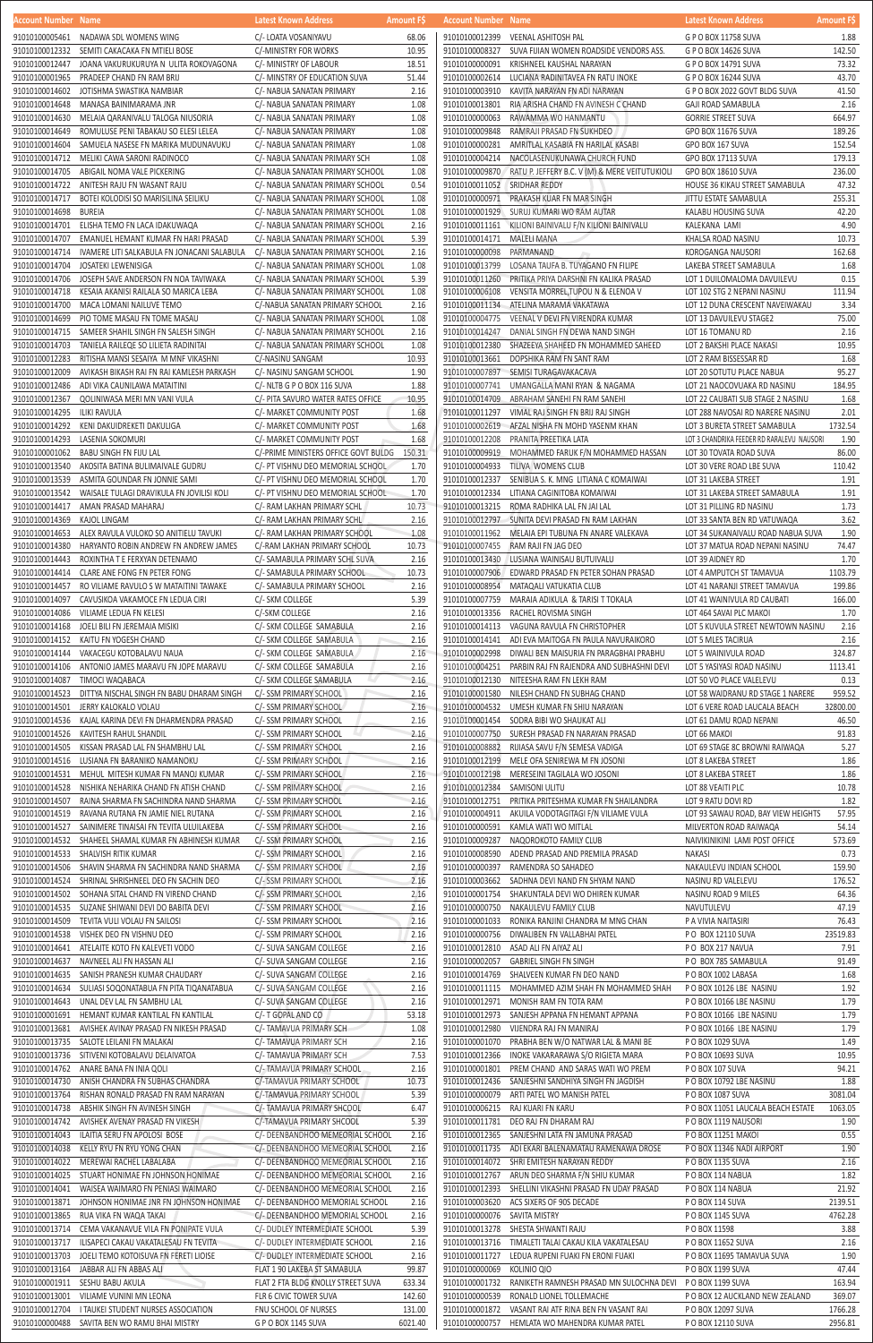| Account Number Name              |                                                                                             | Latest Known Address                                       | <b>Amount FS</b> | <b>Account Number Name</b>       |                                                                                                       | Latest Known Address                                          | <b>Amount FS</b> |
|----------------------------------|---------------------------------------------------------------------------------------------|------------------------------------------------------------|------------------|----------------------------------|-------------------------------------------------------------------------------------------------------|---------------------------------------------------------------|------------------|
|                                  | 91010100005461 NADAWA SDL WOMENS WING                                                       | C/- LOATA VOSANIYAVU                                       | 68.06            | 91010100012399                   | VEENAL ASHITOSH PAL                                                                                   | G P O BOX 11758 SUVA                                          | 1.88             |
| 91010100012332                   | SEMITI CAKACAKA FN MTIELI BOSE                                                              | C/-MINISTRY FOR WORKS                                      | 10.95            | 91010100008327                   | SUVA FIJIAN WOMEN ROADSIDE VENDORS ASS.                                                               | G P O BOX 14626 SUVA                                          | 142.50           |
| 91010100012447                   | JOANA VAKURUKURUYA N ULITA ROKOVAGONA                                                       | C/- MINISTRY OF LABOUR                                     | 18.51            | 91010100000091                   | KRISHNEEL KAUSHAL NARAYAN                                                                             | G P O BOX 14791 SUVA                                          | 73.32            |
| 91010100001965                   | PRADEEP CHAND FN RAM BRIJ                                                                   | C/- MINSTRY OF EDUCATION SUVA                              | 51.44            | 91010100002614                   | LUCIANA RADINITAVEA FN RATU INOKE                                                                     | G P O BOX 16244 SUVA                                          | 43.70            |
| 91010100014602                   | JOTISHMA SWASTIKA NAMBIAR                                                                   | C/- NABUA SANATAN PRIMARY                                  | 2.16             | 91010100003910                   | KAVITA NARAYAN FN ADI NARAYAN                                                                         | G P O BOX 2022 GOVT BLDG SUVA                                 | 41.50            |
| 91010100014648                   | MANASA BAINIMARAMA JNR                                                                      | C/- NABUA SANATAN PRIMARY                                  | 1.08<br>1.08     | 91010100013801                   | RIA ARISHA CHAND FN AVINESH C CHAND                                                                   | <b>GAJI ROAD SAMABULA</b>                                     | 2.16<br>664.97   |
| 91010100014630<br>91010100014649 | MELAIA QARANIVALU TALOGA NIUSORIA<br>ROMULUSE PENI TABAKAU SO ELESI LELEA                   | C/- NABUA SANATAN PRIMARY<br>C/- NABUA SANATAN PRIMARY     | 1.08             | 91010100000063<br>91010100009848 | RAWAMMA WO HANMANTU<br>RAMRAJI PRASAD FN SUKHDEO                                                      | <b>GORRIE STREET SUVA</b><br>GPO BOX 11676 SUVA               | 189.26           |
| 91010100014604                   | SAMUELA NASESE FN MARIKA MUDUNAVUKU                                                         | C/- NABUA SANATAN PRIMARY                                  | 1.08             | 91010100000281                   | AMRITLAL KASABIA FN HARILAL KASABI                                                                    | GPO BOX 167 SUVA                                              | 152.54           |
| 91010100014712                   | MELIKI CAWA SARONI RADINOCO                                                                 | C/- NABUA SANATAN PRIMARY SCH                              | 1.08             | 91010100004214                   | NACOLASENUKUNAWA CHURCH FUND                                                                          | GPO BOX 17113 SUVA                                            | 179.13           |
| 91010100014705                   | ABIGAIL NOMA VALE PICKERING                                                                 | C/- NABUA SANATAN PRIMARY SCHOOL                           | 1.08             | 91010100009870                   | RATU P. JEFFERY B.C. V (M) & MERE VEITUTUKIOLI                                                        | GPO BOX 18610 SUVA                                            | 236.00           |
|                                  | 91010100014722 ANITESH RAJU FN WASANT RAJU                                                  | C/- NABUA SANATAN PRIMARY SCHOOL                           | 0.54             | 91010100011052 SRIDHAR REDDY     |                                                                                                       | HOUSE 36 KIKAU STREET SAMABULA                                | 47.32            |
| 91010100014717                   | BOTEI KOLODISI SO MARISILINA SEILIKU                                                        | C/- NABUA SANATAN PRIMARY SCHOOL                           | 1.08             |                                  | 91010100000971 PRAKASH KUAR FN MAR SINGH                                                              | JITTU ESTATE SAMABULA                                         | 255.31           |
| 91010100014698                   | BUREIA                                                                                      | C/- NABUA SANATAN PRIMARY SCHOOL                           | 1.08             |                                  | 91010100001929 SURUJ KUMARI WO RAM AUTAR                                                              | KALABU HOUSING SUVA                                           | 42.20            |
| 91010100014701                   | ELISHA TEMO FN LACA IDAKUWAQA                                                               | C/- NABUA SANATAN PRIMARY SCHOOL                           | 2.16             |                                  | 91010100011161 KILIONI BAINIVALU F/N KILIONI BAINIVALU                                                | KALEKANA LAMI                                                 | 4.90             |
| 91010100014707                   | EMANUEL HEMANT KUMAR FN HARI PRASAD                                                         | C/- NABUA SANATAN PRIMARY SCHOOL                           | 5.39             | 91010100014171                   | MALELI MANA                                                                                           | KHALSA ROAD NASINU                                            | 10.73            |
| 91010100014714                   | IVAMERE LITI SALKABULA FN JONACANI SALABULA                                                 | C/- NABUA SANATAN PRIMARY SCHOOL                           | 2.16             | 91010100000098                   | PARMANAND                                                                                             | KOROGANGA NAUSORI                                             | 162.68           |
| 91010100014704                   | JOSATEKI LEWENISIGA                                                                         | C/- NABUA SANATAN PRIMARY SCHOOL                           | 1.08             | 91010100013799                   | LOSANA TAUFA B. TUYAGANO FN FILIPE                                                                    | LAKEBA STREET SAMABULA                                        | 1.68             |
| 91010100014706                   | JOSEPH SAVE ANDERSON FN NOA TAVIWAKA                                                        | C/- NABUA SANATAN PRIMARY SCHOOL                           | 5.39             | 91010100011260                   | PRITIKA PRIYA DARSHNI FN KALIKA PRASAD                                                                | LOT 1 DUILOMALOMA DAVUILEVU                                   | 0.15             |
| 91010100014718                   | KESAIA AKANISI RAILALA SO MARICA LEBA                                                       | C/- NABUA SANATAN PRIMARY SCHOOL                           | 1.08             | 91010100006108                   | VENSITA MORREL, TUPOU N & ELENOA V                                                                    | LOT 102 STG 2 NEPANI NASINU                                   | 111.94           |
| 91010100014700                   | MACA LOMANI NAILUVE TEMO                                                                    | C/-NABUA SANATAN PRIMARY SCHOOL                            | 2.16             | 91010100011134                   | ATELINA MARAMA VAKATAWA                                                                               | LOT 12 DUNA CRESCENT NAVEIWAKAU                               | 3.34             |
| 91010100014699                   | PIO TOME MASAU FN TOME MASAU                                                                | C/- NABUA SANATAN PRIMARY SCHOOL                           | 1.08             | 91010100004775                   | VEENAL V DEVI FN VIRENDRA KUMAR                                                                       | LOT 13 DAVUILEVU STAGE2                                       | 75.00            |
| 91010100014715                   | SAMEER SHAHIL SINGH FN SALESH SINGH                                                         | C/- NABUA SANATAN PRIMARY SCHOOL                           | 2.16             | 91010100014247                   | DANIAL SINGH FN DEWA NAND SINGH                                                                       | LOT 16 TOMANU RD                                              | 2.16             |
| 91010100014703                   | TANIELA RAILEQE SO LILIETA RADINITAI                                                        | C/- NABUA SANATAN PRIMARY SCHOOL                           | 1.08             | 91010100012380                   | SHAZEEYA SHAHEED FN MOHAMMED SAHEED                                                                   | LOT 2 BAKSHI PLACE NAKASI                                     | 10.95            |
| 91010100012283                   | RITISHA MANSI SESAIYA M MNF VIKASHNI                                                        | C/-NASINU SANGAM                                           | 10.93            | 91010100013661                   | DOPSHIKA RAM FN SANT RAM                                                                              | LOT 2 RAM BISSESSAR RD                                        | 1.68             |
| 91010100012009                   | AVIKASH BIKASH RAI FN RAI KAMLESH PARKASH                                                   | C/- NASINU SANGAM SCHOOL                                   | 1.90             |                                  | 91010100007897 SEMISI TURAGAVAKACAVA                                                                  | LOT 20 SOTUTU PLACE NABUA                                     | 95.27            |
| 91010100012486                   | ADI VIKA CAUNILAWA MATAITINI                                                                | C/- NLTB G P O BOX 116 SUVA                                | 1.88             | 91010100007741                   | UMANGALLA MANI RYAN & NAGAMA                                                                          | LOT 21 NAOCOVUAKA RD NASINU                                   | 184.95           |
| 91010100012367                   | QOLINIWASA MERI MN VANI VULA                                                                | C/- PITA SAVURO WATER RATES OFFICE                         | 10.95            | 91010100014709                   | ABRAHAM SANEHI FN RAM SANEHI                                                                          | LOT 22 CAUBATI SUB STAGE 2 NASINU                             | 1.68             |
| 91010100014295                   | ILIKI RAVULA                                                                                | C/- MARKET COMMUNITY POST                                  | 1.68             | 91010100011297                   | VIMAL RAJ SINGH FN BRIJ RAJ SINGH                                                                     | LOT 288 NAVOSAI RD NARERE NASINU                              | 2.01             |
|                                  | 91010100014292 KENI DAKUIDREKETI DAKULIGA                                                   | C/- MARKET COMMUNITY POST                                  | 1.68             | 91010100002619                   | AFZAL NISHA FN MOHD YASENM KHAN                                                                       | LOT 3 BURETA STREET SAMABULA                                  | 1732.54          |
| 91010100014293                   | LASENIA SOKOMURI                                                                            | C/- MARKET COMMUNITY POST                                  | 1.68             | 91010100012208                   | PRANITA PREETIKA LATA                                                                                 | LOT 3 CHANDRIKA FEEDER RD RARALEVU NAUSORI                    | 1.90             |
| 91010100001062                   |                                                                                             |                                                            | 150.31           | 91010100009919                   |                                                                                                       |                                                               | 86.00            |
|                                  | BABU SINGH FN FIJU LAL                                                                      | C/-PRIME MINISTERS OFFICE GOVT BULDG                       |                  |                                  | MOHAMMED FARUK F/N MOHAMMED HASSAN                                                                    | LOT 30 TOVATA ROAD SUVA                                       |                  |
| 91010100013540                   | AKOSITA BATINA BULIMAIVALE GUDRU                                                            | C/- PT VISHNU DEO MEMORIAL SCHOOL                          | 1.70             | 91010100004933                   | TILIVA WOMENS CLUB                                                                                    | LOT 30 VERE ROAD LBE SUVA                                     | 110.42           |
| 91010100013539                   | ASMITA GOUNDAR FN JONNIE SAMI                                                               | C/- PT VISHNU DEO MEMORIAL SCHOOL                          | 1.70             | 91010100012337                   | SENIBUA S. K. MNG LITIANA C KOMAIWAI                                                                  | LOT 31 LAKEBA STREET                                          | 1.91             |
| 91010100013542                   | WAISALE TULAGI DRAVIKULA FN JOVILISI KOLI                                                   | C/- PT VISHNU DEO MEMORIAL SCHOOL                          | 1.70             | 91010100012334                   | LITIANA CAGINITOBA KOMAIWAI                                                                           | LOT 31 LAKEBA STREET SAMABULA                                 | 1.91             |
| 91010100014417<br>91010100014369 | AMAN PRASAD MAHARAJ                                                                         | C/- RAM LAKHAN PRIMARY SCHL<br>C/- RAM LAKHAN PRIMARY SCHL | 10.73            | 91010100013215                   | ROMA RADHIKA LAL FN JAI LAL                                                                           | LOT 31 PILLING RD NASINU<br>LOT 33 SANTA BEN RD VATUWAQA      | 1.73             |
|                                  | KAJOL LINGAM<br>91010100014653 ALEX RAVULA VULOKO SO ANITIELU TAVUKI                        | C/- RAM LAKHAN PRIMARY SCHOOL                              | 2.16             |                                  | 91010100012797 SUNITA DEVI PRASAD FN RAM LAKHAN<br>91010100011962 MELAIA EPI TUBUNA FN ANARE VALEKAVA |                                                               | 3.62             |
|                                  |                                                                                             |                                                            | 1.08<br>10.73    |                                  |                                                                                                       | LOT 34 SUKANAIVALU ROAD NABUA SUVA                            | 1.90             |
|                                  | 91010100014380 HARYANTO ROBIN ANDREW FN ANDREW JAMES                                        | C/-RAM LAKHAN PRIMARY SCHOOL                               |                  |                                  | 91010100007455 RAM RAJI FN JAG DEO                                                                    | LOT 37 MATUA ROAD NEPANI NASINU<br>LOT 39 AIDNEY RD           | 74.47            |
|                                  | 91010100014443 ROXINTHA T E FERXYAN DETENAMO<br>91010100014414 CLARE ANE FONG FN PETER FONG | C/- SAMABULA PRIMARY SCHL SUVA                             | 2.16             |                                  | 91010100013430 LUSIANA WAINISAU BUTUIVALU<br>91010100007906 EDWARD PRASAD FN PETER SOHAN PRASAD       |                                                               | 1.70<br>1103.79  |
|                                  |                                                                                             | C/- SAMABULA PRIMARY SCHOOL                                | 10.73            |                                  |                                                                                                       | LOT 4 AMPUTCH ST TAMAVUA                                      | 199.86           |
| 91010100014457                   | RO VILIAME RAVULO S W MATAITINI TAWAKE                                                      | C/- SAMABULA PRIMARY SCHOOL                                | 2.16             | 91010100008954                   | MATAQALI VATUKATIA CLUB                                                                               | LOT 41 NARANJI STREET TAMAVUA                                 |                  |
| 91010100014097                   | CAVUSIKOA VAKAMOCE FN LEDUA CIRI                                                            | C/- SKM COLLEGE                                            | 5.39             | 91010100007759                   | MARAIA ADIKULA & TARISI T TOKALA                                                                      | LOT 41 WAINIVULA RD CAUBATI                                   | 166.00           |
| 91010100014086                   | VILIAME LEDUA FN KELESI<br>JOELI BILI FN JEREMAIA MISIKI                                    | C/-SKM COLLEGE                                             | 2.16             | 91010100013356<br>91010100014113 | RACHEL ROVISMA SINGH                                                                                  | LOT 464 SAVAI PLC MAKOI                                       | 1.70             |
| 91010100014168<br>91010100014152 | KAITU FN YOGESH CHAND                                                                       | C/- SKM COLLEGE SAMABULA                                   | 2.16<br>2.16     | 91010100014141                   | VAGUNA RAVULA FN CHRISTOPHER<br>ADI EVA MAITOGA FN PAULA NAVURAIKORO                                  | LOT 5 KUVULA STREET NEWTOWN NASINU                            | 2.16<br>2.16     |
| 91010100014144                   | VAKACEGU KOTOBALAVU NAUA                                                                    | C/- SKM COLLEGE SAMABULA<br>C/- SKM COLLEGE SAMABULA       | 2.16             | 91010100002998                   | DIWALI BEN MAISURIA FN PARAGBHAI PRABHU                                                               | LOT 5 MLES TACIRUA                                            | 324.87           |
| 91010100014106                   | ANTONIO JAMES MARAVU FN JOPE MARAVU                                                         | C/- SKM COLLEGE SAMABULA                                   | 2.16             | 91010100004251                   | PARBIN RAJ FN RAJENDRA AND SUBHASHNI DEVI                                                             | LOT 5 WAINIVULA ROAD<br>LOT 5 YASIYASI ROAD NASINU            | 1113.41          |
| 91010100014087                   | TIMOCI WAQABACA                                                                             | C/- SKM COLLEGE SAMABULA                                   | 2.16             |                                  | 91010100012130 NITEESHA RAM FN LEKH RAM                                                               |                                                               | 0.13             |
| 91010100014523                   | DITTYA NISCHAL SINGH FN BABU DHARAM SINGH                                                   | C/- SSM PRIMARY SCHOOL                                     | 2.16             | 91010100001580                   |                                                                                                       | LOT 50 VO PLACE VALELEVU<br>LOT 58 WAIDRANU RD STAGE 1 NARERE | 959.52           |
| 91010100014501                   | JERRY KALOKALO VOLAU                                                                        | C/- SSM PRIMARY SCHOOL                                     | 2.16             | 91010100004532                   | NILESH CHAND FN SUBHAG CHAND<br>UMESH KUMAR FN SHIU NARAYAN                                           | LOT 6 VERE ROAD LAUCALA BEACH                                 | 32800.00         |
| 91010100014536                   |                                                                                             | C/- SSM PRIMARY SCHOOL                                     | 2.16             | 91010100001454                   | SODRA BIBI WO SHAUKAT ALI                                                                             | LOT 61 DAMU ROAD NEPANI                                       | 46.50            |
| 91010100014526                   | KAJAL KARINA DEVI FN DHARMENDRA PRASAD<br>KAVITESH RAHUL SHANDIL                            |                                                            | 2.16             | 91010100007750                   | SURESH PRASAD FN NARAYAN PRASAD                                                                       |                                                               | 91.83            |
| 91010100014505                   | KISSAN PRASAD LAL FN SHAMBHU LAL                                                            | C/- SSM PRIMARY SCHOOL<br>C/- SSM PRIMARY SCHOOL           | 2.16             | 91010100008882                   | RIJIASA SAVU F/N SEMESA VADIGA                                                                        | LOT 66 MAKOI<br>LOT 69 STAGE 8C BROWNI RAIWAQA                | 5.27             |
| 91010100014516                   | LUSIANA FN BARANIKO NAMANOKU                                                                | C/- SSM PRIMARY SCHOOL                                     | 2.16             | 91010100012199                   | MELE OFA SENIREWA M FN JOSONI                                                                         | LOT 8 LAKEBA STREET                                           | 1.86             |
| 91010100014531                   | MEHUL MITESH KUMAR FN MANOJ KUMAR                                                           | C/- SSM PRIMARY SCHOOL                                     | 2.16             | 91010100012198                   | MERESEINI TAGILALA WO JOSONI                                                                          | LOT 8 LAKEBA STREET                                           | 1.86             |
| 91010100014528                   | NISHIKA NEHARIKA CHAND FN ATISH CHAND                                                       | C/- SSM PRIMARY SCHOOL                                     | 2.16             | 91010100012384                   | SAMISONI ULITU                                                                                        | LOT 88 VEAITI PLC                                             | 10.78            |
| 91010100014507                   | RAINA SHARMA FN SACHINDRA NAND SHARMA                                                       | C/- SSM PRIMARY SCHOOL                                     | 2.16             | 91010100012751                   | PRITIKA PRITESHMA KUMAR FN SHAILANDRA                                                                 | LOT 9 RATU DOVI RD                                            | 1.82             |
| 91010100014519                   | RAVANA RUTANA FN JAMIE NIEL RUTANA                                                          | C/- SSM PRIMARY SCHOOL                                     | 2.16             | 91010100004911                   | AKUILA VODOTAGITAGI F/N VILIAME VULA                                                                  | LOT 93 SAWAU ROAD, BAY VIEW HEIGHTS                           | 57.95            |
|                                  | 91010100014527 SAINIMERE TINAISAI FN TEVITA ULUILAKEBA                                      | C/- SSM PRIMARY SCHOOL                                     | 2.16             | 91010100000591                   | KAMLA WATI WO MITLAL                                                                                  | MILVERTON ROAD RAIWAQA                                        | 54.14            |
|                                  | 91010100014532 SHAHEEL SHAMAL KUMAR FN ABHINESH KUMAR                                       | C/- SSM PRIMARY SCHOOL                                     | 2.16             | 91010100009287                   | NAQOROKOTO FAMILY CLUB                                                                                | NAIVIKINIKINI LAMI POST OFFICE                                | 573.69           |
| 91010100014533                   | SHALVISH RITIK KUMAR                                                                        | C/- SSM PRIMARY SCHOOL                                     | 2.16             | 91010100008590                   | ADEND PRASAD AND PREMILA PRASAD                                                                       | <b>NAKASI</b>                                                 | 0.73             |
| 91010100014506                   | SHAVIN SHARMA FN SACHINDRA NAND SHARMA                                                      | C/- SSM PRIMARY SCHOOL                                     | 2.16             | 91010100000397                   | RAMENDRA SO SAHADEO                                                                                   | NAKAULEVU INDIAN SCHOOL                                       | 159.90           |
|                                  | 91010100014524 SHRINAL SHRISHNEEL DEO FN SACHIN DEO                                         | C/- SSM PRIMARY SCHOOL                                     | 2.16             | 91010100003662                   | SADHNA DEVI NAND FN SHYAM NAND                                                                        | NASINU RD VALELEVU                                            | 176.52           |
|                                  | 91010100014502 SOHANA SITAL CHAND FN VIREND CHAND                                           | C/- SSM PRIMARY SCHOOL                                     | 2.16             | 91010100001754                   | SHAKUNTALA DEVI WO DHIREN KUMAR                                                                       | NASINU ROAD 9 MILES                                           | 64.36            |
|                                  | 91010100014535 SUZANE SHIWANI DEVI DO BABITA DEVI                                           | C/- SSM PRIMARY SCHOOL                                     | 2.16             | 91010100000750                   | NAKAULEVU FAMILY CLUB                                                                                 | NAVUTULEVU                                                    | 47.19            |
| 91010100014509                   | TEVITA VULI VOLAU FN SAILOSI                                                                | C/- SSM PRIMARY SCHOOL                                     | 2.16             | 91010100001033                   | RONIKA RANJINI CHANDRA M MNG CHAN                                                                     | P A VIVIA NAITASIRI                                           | 76.43            |
| 91010100014538                   | VISHEK DEO FN VISHNU DEO                                                                    | C/- SSM PRIMARY SCHOOL                                     | 2.16             | 91010100000756                   | DIWALIBEN FN VALLABHAI PATEL                                                                          | P O BOX 12110 SUVA                                            | 23519.83         |
| 91010100014641                   | ATELAITE KOTO FN KALEVETI VODO                                                              | C/- SUVA SANGAM COLLEGE                                    | 2.16             | 91010100012810                   | ASAD ALI FN AIYAZ ALI                                                                                 | PO BOX 217 NAVUA                                              | 7.91             |
| 91010100014637                   | NAVNEEL ALI FN HASSAN ALI                                                                   | C/- SUVA SANGAM COLLEGE                                    | 2.16             | 91010100002057                   | GABRIEL SINGH FN SINGH                                                                                | PO BOX 785 SAMABULA                                           | 91.49            |
| 91010100014635                   | SANISH PRANESH KUMAR CHAUDARY                                                               | C/- SUVA SANGAM COLLEGE                                    | 2.16             | 91010100014769                   | SHALVEEN KUMAR FN DEO NAND                                                                            | PO BOX 1002 LABASA                                            | 1.68             |
| 91010100014634                   | SULIASI SOQONATABUA FN PITA TIQANATABUA                                                     | C/- SUVA SANGAM COLLEGE                                    | 2.16             | 91010100011115                   | MOHAMMED AZIM SHAH FN MOHAMMED SHAH                                                                   | PO BOX 10126 LBE NASINU                                       | 1.92             |
| 91010100014643                   | UNAL DEV LAL FN SAMBHU LAL                                                                  | C/- SUVA SANGAM COLLEGE                                    | 2.16             | 91010100012971                   | MONISH RAM FN TOTA RAM                                                                                | PO BOX 10166 LBE NASINU                                       | 1.79             |
| 91010100001691                   | HEMANT KUMAR KANTILAL FN KANTILAL                                                           | C/- T GOPAL AND CO                                         | 53.18            | 91010100012973                   | SANJESH APPANA FN HEMANT APPANA                                                                       | PO BOX 10166 LBE NASINU                                       | 1.79             |
| 91010100013681                   | AVISHEK AVINAY PRASAD FN NIKESH PRASAD                                                      | C/- TAMAVUA PRIMARY SCH                                    | 1.08             | 91010100012980                   | VIJENDRA RAJ FN MANIRAJ                                                                               | PO BOX 10166 LBE NASINU                                       | 1.79             |
| 91010100013735                   | SALOTE LEILANI FN MALAKAI                                                                   | C/- TAMAVUA PRIMARY SCH                                    | 2.16             | 91010100001070                   | PRABHA BEN W/O NATWAR LAL & MANI BE                                                                   | P O BOX 1029 SUVA                                             | 1.49             |
| 91010100013736                   | SITIVENI KOTOBALAVU DELAIVATOA                                                              | C/- TAMAVUA PRIMARY SCH                                    | 7.53             | 91010100012366                   | INOKE VAKARARAWA S/O RIGIETA MARA                                                                     | P O BOX 10693 SUVA                                            | 10.95            |
|                                  | 91010100014762 ANARE BANA FN INIA QOLI                                                      | C/- TAMAVUA PRIMARY SCHOOL                                 | 2.16             |                                  | 91010100001801 PREM CHAND AND SARAS WATI WO PREM                                                      | PO BOX 107 SUVA                                               | 94.21            |
|                                  | 91010100014730 ANISH CHANDRA FN SUBHAS CHANDRA                                              | C/-TAMAVUA PRIMARY SCHOOL                                  | 10.73            |                                  | 91010100012436 SANJESHNI SANDHIYA SINGH FN JAGDISH                                                    | P O BOX 10792 LBE NASINU                                      | 1.88             |
|                                  | 91010100013764 RISHAN RONALD PRASAD FN RAM NARAYAN                                          | C/-TAMAVUA PRIMARY SCHOOL                                  | 5.39             |                                  | 91010100000079 ARTI PATEL WO MANISH PATEL                                                             | P O BOX 1087 SUVA                                             | 3081.04          |
| 91010100014738                   | ABSHIK SINGH FN AVINESH SINGH                                                               | C/- TAMAVUA PRIMARY SHCOOL                                 | 6.47             | 91010100006215                   | RAJ KUARI FN KARU                                                                                     | P O BOX 11051 LAUCALA BEACH ESTATE                            | 1063.05          |
|                                  | 91010100014742 AVISHEK AVENAY PRASAD FN VIKESH                                              | C/-TAMAVUA PRIMARY SHCOOL                                  | 5.39             | 91010100011781                   | DEO RAJ FN DHARAM RAJ                                                                                 | P O BOX 1119 NAUSORI                                          | 1.90             |
| 91010100014043                   | ILAITIA SERU FN APOLOSI BOSE                                                                | C/- DEENBANDHOO MEMEORIAL SCHOOL                           | 2.16             | 91010100012365                   | SANJESHNI LATA FN JAMUNA PRASAD                                                                       | P O BOX 11251 MAKOI                                           | 0.55             |
| 91010100014038                   | KELLY RYU FN RYU YONG CHAN                                                                  | C/- DEENBANDHOO MEMEORIAL SCHOOL                           | 2.16             |                                  | 91010100011735 ADI EKARI BALENAMATAU RAMENAWA DROSE                                                   | P O BOX 11346 NADI AIRPORT                                    | 1.90             |
| 91010100014022                   | MEREWAI RACHEL LABALABA                                                                     | C/- DEENBANDHOO MEMEORIAL SCHOOL                           | 2.16             |                                  | 91010100014072 SHRI EMITESH NARAYAN REDDY                                                             | P O BOX 1135 SUVA                                             | 2.16             |
|                                  | 91010100014025 STUART HONIMAE FN JOHNSON HONIMAE                                            | C/- DEENBANDHOO MEMEORIAL SCHOOL                           | 2.16             | 91010100012767                   | ARUN DEO SHARMA F/N SHIU KUMAR                                                                        | PO BOX 114 NABUA                                              | 1.82             |
|                                  | 91010100014041 WAISEA WAIMARO FN PENIASI WAIMARO                                            | C/- DEENBANDHOO MEMEORIAL SCHOOL                           | 2.16             | 91010100012393                   | SHELLINI VIKASHNI PRASAD FN UDAY PRASAD                                                               | POBOX 114 NABUA                                               | 21.92            |
| 91010100013871                   | JOHNSON HONIMAE JNR FN JOHNSON HONIMAE                                                      | C/- DEENBANDHOO MEMORIAL SCHOOL                            | 2.16             | 91010100003620                   | ACS SIXERS OF 90S DECADE                                                                              | POBOX 114 SUVA                                                | 2139.51          |
| 91010100013865                   | RUA VIKA FN WAQA TAKAI                                                                      | C/- DEENBANDHOO MEMORIAL SCHOOL                            | 2.16             | 91010100000076 SAVITA MISTRY     |                                                                                                       | P O BOX 1145 SUVA                                             | 4762.28          |
| 91010100013714                   | CEMA VAKANAVUE VILA FN PONIPATE VULA                                                        | C/- DUDLEY INTERMEDIATE SCHOOL                             | 5.39             |                                  | 91010100013278 SHESTA SHWANTI RAJU                                                                    | P O BOX 11598                                                 | 3.88             |
| 91010100013717                   | ILISAPECI CAKAU VAKATALESAU FN TEVITA                                                       | C/- DUDLEY INTERMEDIATE SCHOOL                             | 2.16             | 91010100013716                   | TIMALETI TALAI CAKAU KILA VAKATALESAU                                                                 | P O BOX 11652 SUVA                                            | 2.16             |
| 91010100013703                   | JOELI TEMO KOTOISUVA FN FERETI LIOISE                                                       | C/- DUDLEY INTERMEDIATE SCHOOL                             | 2.16             | 91010100011727                   | LEDUA RUPENI FUAKI FN ERONI FUAKI                                                                     | P O BOX 11695 TAMAVUA SUVA                                    | 1.90             |
| 91010100013164                   | JABBAR ALI FN ABBAS ALI                                                                     | FLAT 1 90 LAKEBA ST SAMABULA                               | 99.87            | 91010100000069                   | KOLINIO QIO                                                                                           | P O BOX 1199 SUVA                                             | 47.44            |
|                                  | 91010100001911 SESHU BABU AKULA                                                             | FLAT 2 FTA BLDG KNOLLY STREET SUVA                         | 633.34           | 91010100001732                   | RANIKETH RAMNESH PRASAD MN SULOCHNA DEVI P O BOX 1199 SUVA                                            |                                                               | 163.94           |
| 91010100013001                   | VILIAME VUNINI MN LEONA                                                                     | FLR 6 CIVIC TOWER SUVA                                     | 142.60           | 91010100000539                   | RONALD LIONEL TOLLEMACHE                                                                              | P O BOX 12 AUCKLAND NEW ZEALAND                               | 369.07           |
| 91010100012704                   | I TAUKEI STUDENT NURSES ASSOCIATION                                                         | FNU SCHOOL OF NURSES                                       | 131.00           | 91010100001872                   | VASANT RAI ATF RINA BEN FN VASANT RAI                                                                 | P O BOX 12097 SUVA                                            | 1766.28          |
| 91010100000488                   | SAVITA BEN WO RAMU BHAI MISTRY                                                              | G P O BOX 1145 SUVA                                        | 6021.40          | 91010100000757                   | HEMLATA WO MAHENDRA KUMAR PATEL                                                                       | P O BOX 12110 SUVA                                            | 2956.81          |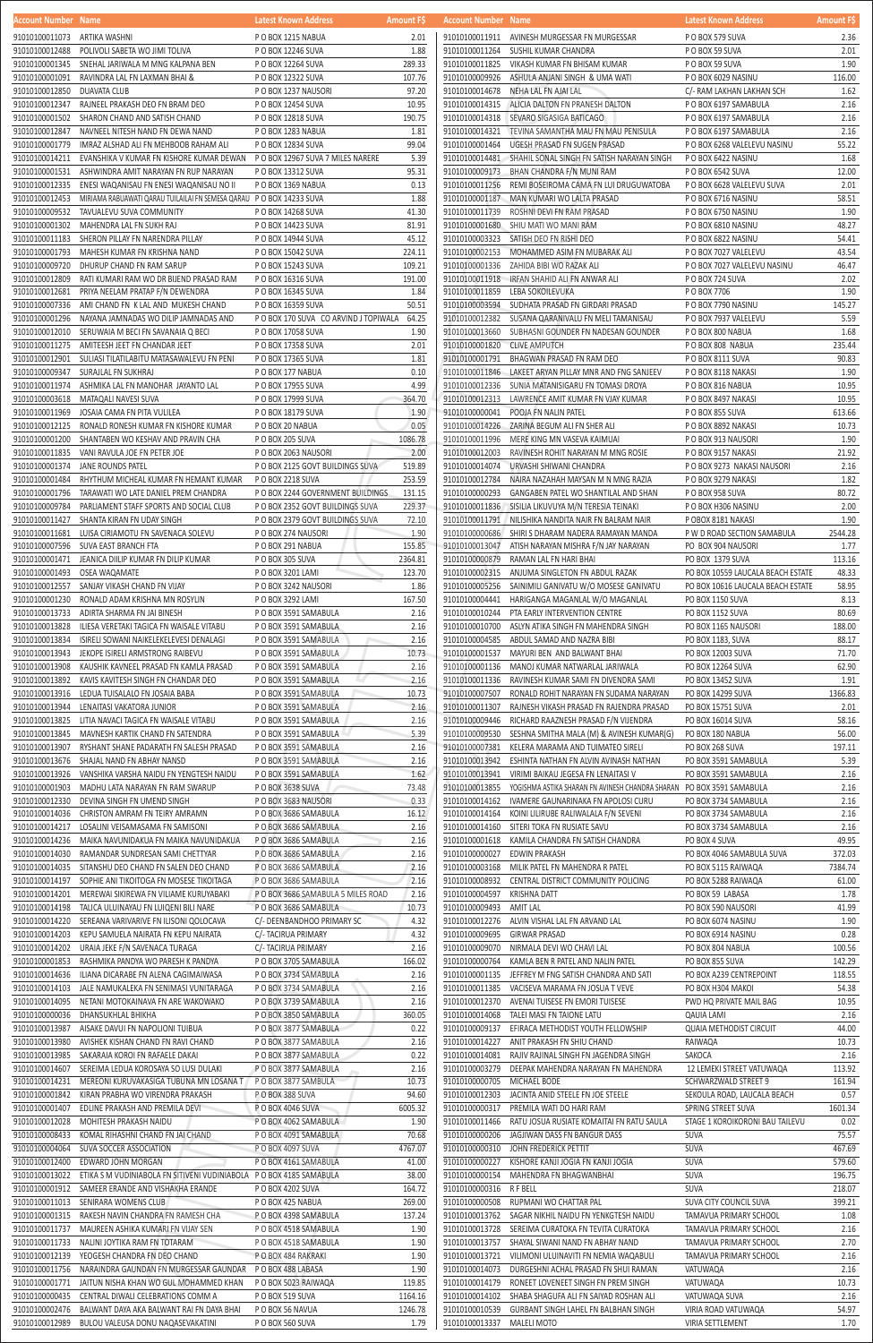| Account Number Name          |                                                                                   | Latest Known Address                  | <b>Amount FS</b> | <b>Account Number Name</b>   |                                                                       | Latest Known Address              | <b>Amount FS</b> |
|------------------------------|-----------------------------------------------------------------------------------|---------------------------------------|------------------|------------------------------|-----------------------------------------------------------------------|-----------------------------------|------------------|
| 91010100011073 ARTIKA WASHNI |                                                                                   | P O BOX 1215 NABUA                    | 2.01             |                              | 91010100011911 AVINESH MURGESSAR FN MURGESSAR                         | P O BOX 579 SUVA                  | 2.36             |
| 91010100012488               | POLIVOLI SABETA WO JIMI TOLIVA                                                    | P O BOX 12246 SUVA                    | 1.88             | 91010100011264               | SUSHIL KUMAR CHANDRA                                                  | P O BOX 59 SUVA                   | 2.01             |
|                              | 91010100001345 SNEHAL JARIWALA M MNG KALPANA BEN                                  | P O BOX 12264 SUVA                    | 289.33           | 91010100011825               | VIKASH KUMAR FN BHISAM KUMAR                                          | P O BOX 59 SUVA                   | 1.90             |
|                              | 91010100001091 RAVINDRA LAL FN LAXMAN BHAI &                                      | P O BOX 12322 SUVA                    | 107.76           | 91010100009926               | ASHULA ANJANI SINGH & UMA WATI                                        | P O BOX 6029 NASINU               | 116.00           |
| 91010100012850               | DUAVATA CLUB                                                                      | P O BOX 1237 NAUSORI                  | 97.20            | 91010100014678               | NEHA LAL FN AJAI LAL                                                  | C/- RAM LAKHAN LAKHAN SCH         | 1.62             |
| 91010100012347               | RAJNEEL PRAKASH DEO FN BRAM DEO                                                   | P O BOX 12454 SUVA                    | 10.95            | 91010100014315               | ALICIA DALTON FN PRANESH DALTON                                       | P O BOX 6197 SAMABULA             | 2.16             |
|                              | 91010100001502 SHARON CHAND AND SATISH CHAND                                      | P O BOX 12818 SUVA                    | 190.75           |                              | 91010100014318 SEVARO SIGASIGA BATICAGO                               | P O BOX 6197 SAMABULA             | 2.16             |
| 91010100012847               | NAVNEEL NITESH NAND FN DEWA NAND                                                  | PO BOX 1283 NABUA                     | 1.81             |                              | 91010100014321 TEVINA SAMANTHA MAU FN MAU PENISULA                    | P O BOX 6197 SAMABULA             | 2.16             |
| 91010100001779               | IMRAZ ALSHAD ALI FN MEHBOOB RAHAM ALI                                             | P O BOX 12834 SUVA                    | 99.04            | 91010100001464               | UGESH PRASAD FN SUGEN PRASAD                                          | P O BOX 6268 VALELEVU NASINU      | 55.22            |
| 91010100014211               | EVANSHIKA V KUMAR FN KISHORE KUMAR DEWAN                                          | P O BOX 12967 SUVA 7 MILES NARERE     | 5.39             |                              | 91010100014481 SHAHIL SONAL SINGH FN SATISH NARAYAN SINGH             | P O BOX 6422 NASINU               | 1.68             |
| 91010100001531               | ASHWINDRA AMIT NARAYAN FN RUP NARAYAN                                             | P O BOX 13312 SUVA                    | 95.31            | 91010100009173               | BHAN CHANDRA F/N MUNI RAM                                             | P O BOX 6542 SUVA                 | 12.00            |
| 91010100012335               | ENESI WAQANISAU FN ENESI WAQANISAU NO II                                          | P O BOX 1369 NABUA                    | 0.13             | 91010100011256               | REMI BOSEIROMA CAMA FN LUI DRUGUWATOBA                                | P O BOX 6628 VALELEVU SUVA        | 2.01             |
| 91010100012453               | MIRIAMA RABUAWATI QARAU TUILAILAI FN SEMESA QARAU PO BOX 14233 SUVA               |                                       | 1.88             | 91010100001187               | MAN KUMARI WO LALTA PRASAD                                            | PO BOX 6716 NASINU                | 58.51            |
|                              | 91010100009532 TAVUALEVU SUVA COMMUNITY                                           | P O BOX 14268 SUVA                    | 41.30            | 91010100011739               | ROSHNI DEVI FN RAM PRASAD                                             | P O BOX 6750 NASINU               | 1.90             |
| 91010100001302               | MAHENDRA LAL FN SUKH RAJ                                                          | P O BOX 14423 SUVA                    | 81.91            |                              | 91010100001680 SHIU MATI WO MANI RAM                                  | P O BOX 6810 NASINU               | 48.27            |
| 91010100011183               | SHERON PILLAY FN NARENDRA PILLAY                                                  |                                       | 45.12            | 91010100003323               |                                                                       |                                   | 54.41            |
|                              |                                                                                   | P O BOX 14944 SUVA                    |                  |                              | SATISH DEO FN RISHI DEO                                               | P O BOX 6822 NASINU               |                  |
| 91010100001793               | MAHESH KUMAR FN KRISHNA NAND                                                      | P O BOX 15042 SUVA                    | 224.11           | 91010100002153               | MOHAMMED ASIM FN MUBARAK ALI                                          | P O BOX 7027 VALELEVU             | 43.54            |
| 91010100009720               | DHURUP CHAND FN RAM SARUP                                                         | P O BOX 15243 SUVA                    | 109.21           | 91010100001336               | ZAHIDA BIBI WO RAZAK ALI                                              | P O BOX 7027 VALELEVU NASINU      | 46.47            |
| 91010100012809               | RATI KUMARI RAM WO DR BIJEND PRASAD RAM                                           | P O BOX 16316 SUVA                    | 191.00           | 91010100011918               | <b>IRFAN SHAHID ALI FN ANWAR ALI</b>                                  | P O BOX 724 SUVA                  | 2.02             |
| 91010100012681               | PRIYA NEELAM PRATAP F/N DEWENDRA                                                  | P O BOX 16345 SUVA                    | 1.84             | 91010100011859               | LEBA SOKOILEVUKA                                                      | P O BOX 7706                      | 1.90             |
| 91010100007336               | AMI CHAND FN K LAL AND MUKESH CHAND                                               | P O BOX 16359 SUVA                    | 50.51            | 91010100003594               | SUDHATA PRASAD FN GIRDARI PRASAD                                      | P O BOX 7790 NASINU               | 145.27           |
| 91010100001296               | NAYANA JAMNADAS WO DILIP JAMNADAS AND                                             | P O BOX 170 SUVA CO ARVIND J TOPIWALA | 64.25            | 91010100012382               | SUSANA QARANIVALU FN MELI TAMANISAU                                   | P O BOX 7937 VALELEVU             | 5.59             |
| 91010100012010               | SERUWAIA M BECI FN SAVANAIA Q BECI                                                | P O BOX 17058 SUVA                    | 1.90             | 91010100013660               | SUBHASNI GOUNDER FN NADESAN GOUNDER                                   | P O BOX 800 NABUA                 | 1.68             |
|                              | 91010100011275 AMITEESH JEET FN CHANDAR JEET                                      | P O BOX 17358 SUVA                    | 2.01             | 91010100001820 CLIVE AMPUTCH |                                                                       | P O BOX 808 NABUA                 | 235.44           |
|                              | 91010100012901 SULIASI TILATILABITU MATASAWALEVU FN PENI                          | P O BOX 17365 SUVA                    | 1.81             |                              | 91010100001791 BHAGWAN PRASAD FN RAM DEO                              | PO BOX 8111 SUVA                  | 90.83            |
|                              | 91010100009347 SURAJLAL FN SUKHRAJ                                                | P O BOX 177 NABUA                     | 0.10             |                              | 91010100011846 LAKEET ARYAN PILLAY MNR AND FNG SANJEEV                | P O BOX 8118 NAKASI               | 1.90             |
|                              | 91010100011974 ASHMIKA LAL FN MANOHAR JAYANTO LAL                                 | P O BOX 17955 SUVA                    | 4.99             |                              | 91010100012336 SUNIA MATANISIGARU FN TOMASI DROYA                     | P O BOX 816 NABUA                 | 10.95            |
|                              | 91010100003618 MATAQALI NAVESI SUVA                                               | P O BOX 17999 SUVA                    | 364.70           |                              | 91010100012313 LAWRENCE AMIT KUMAR FN VJAY KUMAR                      | P O BOX 8497 NAKASI               | 10.95            |
| 91010100011969               | JOSAIA CAMA FN PITA VULILEA                                                       | P O BOX 18179 SUVA                    | 1.90             | 91010100000041               | POOJA FN NALIN PATEL                                                  | PO BOX 855 SUVA                   | 613.66           |
| 91010100012125               | RONALD RONESH KUMAR FN KISHORE KUMAR                                              | P O BOX 20 NABUA                      | 0.05             |                              | 91010100014226 ZARINA BEGUM ALI FN SHER ALI                           | P O BOX 8892 NAKASI               | 10.73            |
| 91010100001200               | SHANTABEN WO KESHAV AND PRAVIN CHA                                                | P O BOX 205 SUVA                      | 1086.78          |                              | 91010100011996 MERE KING MN VASEVA KAIMUAI                            | P O BOX 913 NAUSORI               | 1.90             |
|                              | 91010100011835 VANI RAVULA JOE FN PETER JOE                                       | P O BOX 2063 NAUSORI                  | 2.00             | 91010100012003               | RAVINESH ROHIT NARAYAN M MNG ROSIE                                    | P O BOX 9157 NAKASI               | 21.92            |
|                              | 91010100001374 JANE ROUNDS PATEL                                                  | P O BOX 2125 GOVT BUILDINGS SUVA      | 519.89           | 91010100014074               | URVASHI SHIWANI CHANDRA                                               | P O BOX 9273 NAKASI NAUSORI       | 2.16             |
|                              | 91010100001484 RHYTHUM MICHEAL KUMAR FN HEMANT KUMAR                              | P O BOX 2218 SUVA                     | 253.59           | 91010100012784               | NAIRA NAZAHAH MAYSAN M N MNG RAZIA                                    | P O BOX 9279 NAKASI               | 1.82             |
| 91010100001796               | TARAWATI WO LATE DANIEL PREM CHANDRA                                              | P O BOX 2244 GOVERNMENT BUILDINGS     | 131.15           | 91010100000293               | GANGABEN PATEL WO SHANTILAL AND SHAN                                  | P O BOX 958 SUVA                  | 80.72            |
| 91010100009784               | PARLIAMENT STAFF SPORTS AND SOCIAL CLUB                                           | P O BOX 2352 GOVT BUILDINGS SUVA      | 229.37           |                              | 91010100011836 SISILIA LIKUVUYA M/N TERESIA TEINAKI                   | P O BOX H306 NASINU               | 2.00             |
|                              |                                                                                   |                                       |                  |                              |                                                                       |                                   | 1.90             |
|                              | 91010100011427 SHANTA KIRAN FN UDAY SINGH                                         | P O BOX 2379 GOVT BUILDINGS SUVA      | 72.10            |                              | 91010100011791 NILISHIKA NANDITA NAIR FN BALRAM NAIR                  | P OBOX 8181 NAKASI                |                  |
|                              | 91010100011681 LUISA CIRIAMOTU FN SAVENACA SOLEVU                                 | P O BOX 274 NAUSORI                   | 1.90             |                              | 91010100000686 SHIRI S DHARAM NADERA RAMAYAN MANDA                    | P W D ROAD SECTION SAMABULA       | 2544.28          |
|                              | 91010100007596 SUVA EAST BRANCH FTA                                               | P O BOX 291 NABUA                     | 155.85           |                              | 91010100013047 ATISH NARAYAN MISHRA F/N JAY NARAYAN                   | PO BOX 904 NAUSORI                | 1.77             |
|                              | 91010100001471 JEANICA DIILIP KUMAR FN DILIP KUMAR                                | PO BOX 305 SUVA                       | 2364.81          |                              | 91010100000879 RAMAN LAL FN HARI BHAI                                 | PO BOX 1379 SUVA                  | 113.16           |
|                              | 91010100001493 OSEA WAQAMATE                                                      | P O BOX 3201 LAMI                     | 123.70           |                              | 91010100002315 ANJUMA SINGLETON FN ABDUL RAZAK                        | PO BOX 10559 LAUCALA BEACH ESTATE | 48.33            |
|                              | 91010100012557 SANJAY VIKASH CHAND FN VIJAY                                       | P O BOX 3242 NAUSORI                  | 1.86             |                              | 91010100005256 SAINIMILI GANIVATU W/O MOSESE GANIVATU                 | PO BOX 10616 LAUCALA BEACH ESTATE | 58.95            |
| 91010100001230               | RONALD ADAM KRISHNA MN ROSYLIN                                                    | P O BOX 3292 LAMI                     | 167.50           |                              | 91010100004441 HARIGANGA MAGANLAL W/O MAGANLAL                        | PO BOX 1150 SUVA                  | 8.13             |
| 91010100013733               | ADIRTA SHARMA FN JAI BINESH                                                       | P O BOX 3591 SAMABULA                 | 2.16             | 91010100010244               | PTA EARLY INTERVENTION CENTRE                                         | PO BOX 1152 SUVA                  | 80.69            |
| 91010100013828               | ILIESA VERETAKI TAGICA FN WAISALE VITABU                                          | P O BOX 3591 SAMABULA                 | 2.16             | 91010100010700               | ASLYN ATIKA SINGH FN MAHENDRA SINGH                                   | PO BOX 1165 NAUSORI               | 188.00           |
| 91010100013834               | ISIRELI SOWANI NAIKELEKELEVESI DENALAGI                                           | P O BOX 3591 SAMABULA                 | 2.16             | 91010100004585               | ABDUL SAMAD AND NAZRA BIBI                                            | PO BOX 1183, SUVA                 | 88.17            |
| 91010100013943               | JEKOPE ISIRELI ARMSTRONG RAIBEVU                                                  | P O BOX 3591 SAMABULA                 | 10.73            | 91010100001537               | MAYURI BEN AND BALWANT BHAI                                           | PO BOX 12003 SUVA                 | 71.70            |
| 91010100013908               | KAUSHIK KAVNEEL PRASAD FN KAMLA PRASAD                                            | P O BOX 3591 SAMABULA                 | 2.16             | 91010100001136               | MANOJ KUMAR NATWARLAL JARIWALA                                        | <b>PO BOX 12264 SUVA</b>          | 62.90            |
| 91010100013892               | KAVIS KAVITESH SINGH FN CHANDAR DEO                                               | P O BOX 3591 SAMABULA                 | 2.16             |                              | 91010100011336 RAVINESH KUMAR SAMI FN DIVENDRA SAMI                   | PO BOX 13452 SUVA                 | 1.91             |
|                              | 91010100013916 LEDUA TUISALALO FN JOSAIA BABA                                     | P O BOX 3591 SAMABULA                 | 10.73            | 91010100007507               | RONALD ROHIT NARAYAN FN SUDAMA NARAYAN                                | <b>PO BOX 14299 SUVA</b>          | 1366.83          |
|                              | 91010100013944 LENAITASI VAKATORA JUNIOR                                          | P O BOX 3591 SAMABULA                 | 2.16             | 91010100011307               | RAJNESH VIKASH PRASAD FN RAJENDRA PRASAD                              | <b>PO BOX 15751 SUVA</b>          | 2.01             |
| 91010100013825               | LITIA NAVACI TAGICA FN WAISALE VITABU                                             | P O BOX 3591 SAMABULA                 | 2.16             | 91010100009446               | RICHARD RAAZNESH PRASAD F/N VIJENDRA                                  | <b>PO BOX 16014 SUVA</b>          | 58.16            |
| 91010100013845               | MAVNESH KARTIK CHAND FN SATENDRA                                                  | P O BOX 3591 SAMABULA                 | 5.39             |                              | 91010100009530 SESHNA SMITHA MALA (M) & AVINESH KUMAR(G)              | PO BOX 180 NABUA                  | 56.00            |
| 91010100013907               | RYSHANT SHANE PADARATH FN SALESH PRASAD                                           | P O BOX 3591 SAMABULA                 | 2.16             | 91010100007381               | KELERA MARAMA AND TUIMATEO SIRELI                                     | PO BOX 268 SUVA                   | 197.11           |
| 91010100013676               | SHAJAL NAND FN ABHAY NANSD                                                        | P O BOX 3591 SAMABULA                 | 2.16             | 91010100013942               | ESHINTA NATHAN FN ALVIN AVINASH NATHAN                                | PO BOX 3591 SAMABULA              | 5.39             |
| 91010100013926               | VANSHIKA VARSHA NAIDU FN YENGTESH NAIDU                                           | P O BOX 3591 SAMABULA                 | 1.62             | 91010100013941               | VIRIMI BAIKAU JEGESA FN LENAITASI V                                   | PO BOX 3591 SAMABULA              | 2.16             |
| 91010100001903               | MADHU LATA NARAYAN FN RAM SWARUP                                                  | P O BOX 3638 SUVA                     | 73.48            | 91010100013855               | YOGISHMA ASTIKA SHARAN FN AVINESH CHANDRA SHARAN PO BOX 3591 SAMABULA |                                   | 2.16             |
| 91010100012330               | DEVINA SINGH FN UMEND SINGH                                                       | P O BOX 3683 NAUSORI                  | 0.33             | 91010100014162               | IVAMERE GAUNARINAKA FN APOLOSI CURU                                   | PO BOX 3734 SAMABULA              | 2.16             |
| 91010100014036               | CHRISTON AMRAM FN TEIRY AMRAMN                                                    | P O BOX 3686 SAMABULA                 | 16.12            |                              | 91010100014164 KOINI LILIRUBE RALIWALALA F/N SEVENI                   | PO BOX 3734 SAMABULA              | 2.16             |
| 91010100014217               | LOSALINI VEISAMASAMA FN SAMISONI                                                  |                                       |                  |                              |                                                                       |                                   | 2.16             |
|                              |                                                                                   | P O BOX 3686 SAMABULA                 | 2.16             |                              | 91010100014160 SITERI TOKA FN RUSIATE SAVU                            | PO BOX 3734 SAMABULA              |                  |
| 91010100014236               | MAIKA NAVUNIDAKUA FN MAIKA NAVUNIDAKUA                                            | P O BOX 3686 SAMABULA                 | 2.16             |                              | 91010100001618 KAMILA CHANDRA FN SATISH CHANDRA                       | PO BOX 4 SUVA                     | 49.95            |
| 91010100014030               | RAMANDAR SUNDRESAN SAMI CHETTYAR                                                  | P O BOX 3686 SAMABULA                 | 2.16             | 91010100000027               | EDWIN PRAKASH                                                         | PO BOX 4046 SAMABULA SUVA         | 372.03           |
| 91010100014035               | SITANSHU DEO CHAND FN SALEN DEO CHAND                                             | P O BOX 3686 SAMABULA                 | 2.16             | 91010100003168               | MILIK PATEL FN MAHENDRA R PATEL                                       | PO BOX 5115 RAIWAQA               | 7384.74          |
| 91010100014197               | SOPHIE ANI TIKOITOGA FN MOSESE TIKOITAGA                                          | P O BOX 3686 SAMABULA                 | 2.16             | 91010100008932               | CENTRAL DISTRICT COMMUNITY POLICING                                   | PO BOX 5288 RAIWAQA               | 61.00            |
| 91010100014201               | MEREWAI SIKIREWA FN VILIAME KURUYABAKI                                            | P O BOX 3686 SAMABULA 5 MILES ROAD    | 2.16             | 91010100004597               | KRISHNA DATT                                                          | PO BOX 59 LABASA                  | 1.78             |
| 91010100014198               | TALICA ULUINAYAU FN LUIQENI BILI NARE                                             | P O BOX 3686 SAMABULA                 | 10.73            | 91010100009493               | AMIT LAL                                                              | PO BOX 590 NAUSORI                | 41.99            |
|                              | 91010100014220 SEREANA VARIVARIVE FN ILISONI QOLOCAVA                             | C/- DEENBANDHOO PRIMARY SC            | 4.32             | 91010100012276               | ALVIN VISHAL LAL FN ARVAND LAL                                        | PO BOX 6074 NASINU                | 1.90             |
| 91010100014203               | KEPU SAMUELA NAIRATA FN KEPU NAIRATA                                              | C/- TACIRUA PRIMARY                   | 4.32             | 91010100009695               | GIRWAR PRASAD                                                         | PO BOX 6914 NASINU                | 0.28             |
| 91010100014202               | URAIA JEKE F/N SAVENACA TURAGA                                                    | C/- TACIRUA PRIMARY                   | 2.16             | 91010100009070               | NIRMALA DEVI WO CHAVI LAL                                             | PO BOX 804 NABUA                  | 100.56           |
| 91010100001853               | RASHMIKA PANDYA WO PARESH K PANDYA                                                | P O BOX 3705 SAMABULA                 | 166.02           | 91010100000764               | KAMLA BEN R PATEL AND NALIN PATEL                                     | PO BOX 855 SUVA                   | 142.29           |
| 91010100014636               | ILIANA DICARABE FN ALENA CAGIMAIWASA                                              | P O BOX 3734 SAMABULA                 | 2.16             | 91010100001135               | JEFFREY M FNG SATISH CHANDRA AND SATI                                 | PO BOX A239 CENTREPOINT           | 118.55           |
| 91010100014103               | JALE NAMUKALEKA FN SENIMASI VUNITARAGA                                            | P O BOX 3734 SAMABULA                 | 2.16             | 91010100011385               | VACISEVA MARAMA FN JOSUA T VEVE                                       | PO BOX H304 MAKOI                 | 54.38            |
| 91010100014095               | NETANI MOTOKAINAVA FN ARE WAKOWAKO                                                | P O BOX 3739 SAMABULA                 | 2.16             | 91010100012370               | AVENAI TUISESE FN EMORI TUISESE                                       | PWD HQ PRIVATE MAIL BAG           | 10.95            |
| 91010100000036               | DHANSUKHLAL BHIKHA                                                                | P O BOX 3850 SAMABULA                 | 360.05           | 91010100014068               | TALEI MASI FN TAIONE LATU                                             | <b>QAUIA LAMI</b>                 | 2.16             |
| 91010100013987               | AISAKE DAVUI FN NAPOLIONI TUIBUA                                                  | P O BOX 3877 SAMABULA                 | 0.22             | 91010100009137               | EFIRACA METHODIST YOUTH FELLOWSHIP                                    | <b>QUAIA METHODIST CIRCUIT</b>    | 44.00            |
| 91010100013980               | AVISHEK KISHAN CHAND FN RAVI CHAND                                                | P O BOX 3877 SAMABULA                 | 2.16             | 91010100014227               | ANIT PRAKASH FN SHIU CHAND                                            | RAIWAQA                           | 10.73            |
| 91010100013985               | SAKARAIA KOROI FN RAFAELE DAKAI                                                   | P O BOX 3877 SAMABULA                 | 0.22             | 91010100014081               | RAJIV RAJINAL SINGH FN JAGENDRA SINGH                                 | SAKOCA                            | 2.16             |
|                              | 91010100014607 SEREIMA LEDUA KOROSAYA SO LUSI DULAKI                              | PO BOX 3877 SAMABULA                  | 2.16             |                              | 91010100003279 DEEPAK MAHENDRA NARAYAN FN MAHENDRA                    | 12 LEMEKI STREET VATUWAQA         | 113.92           |
|                              | 91010100014231 MEREONI KURUVAKASIGA TUBUNA MN LOSANA T P O BOX 3877 SAMBULA       |                                       | 10.73            | 91010100000705 MICHAEL BODE  |                                                                       | SCHWARZWALD STREET 9              | 161.94           |
|                              | 91010100001842 KIRAN PRABHA WO VIRENDRA PRAKASH                                   | PO BOX 388 SUVA                       | 94.60            |                              | 91010100012303 JACINTA ANID STEELE FN JOE STEELE                      | SEKOULA ROAD, LAUCALA BEACH       | 0.57             |
| 91010100001407               | EDLINE PRAKASH AND PREMILA DEVI                                                   | P O BOX 4046 SUVA                     | 6005.32          | 91010100000317               | PREMILA WATI DO HARI RAM                                              | SPRING STREET SUVA                | 1601.34          |
| 91010100012028               | MOHITESH PRAKASH NAIDU                                                            | P O BOX 4062 SAMABULA                 | 1.90             | 91010100011466               | RATU JOSUA RUSIATE KOMAITAI FN RATU SAULA                             | STAGE 1 KOROIKORONI BAU TAILEVU   | 0.02             |
|                              |                                                                                   |                                       | 70.68            |                              |                                                                       |                                   | 75.57            |
| 91010100008433               | KOMAL RIHASHNI CHAND FN JAI CHAND                                                 | P O BOX 4091 SAMABULA                 |                  | 91010100000206               | JAGJIWAN DASS FN BANGUR DASS                                          | SUVA                              |                  |
| 91010100004064               | SUVA SOCCER ASSOCIATION                                                           | P O BOX 4097 SUVA                     | 4767.07          | 91010100000310               | JOHN FREDERICK PETTIT                                                 | SUVA                              | 467.69           |
| 91010100012400               | EDWARD JOHN MORGAN                                                                | P O BOX 4161 SAMABULA                 | 41.00            |                              | 91010100000227 KISHORE KANJI JOGIA FN KANJI JOGIA                     | SUVA                              | 579.60           |
|                              | 91010100013022 ETIKA S M VUDINIABOLA FN SITIVENI VUDINIABOLA PO BOX 4185 SAMABULA |                                       | 38.00            | 91010100000154               | MAHENDRA FN BHAGWANBHAI                                               | SUVA                              | 196.75           |
| 91010100001912               | SAMEER ERANDE AND VISHAKHA ERANDE                                                 | P O BOX 4202 SUVA                     | 164.72           | 91010100000316 RF BELL       |                                                                       | SUVA                              | 218.07           |
| 91010100011013               | SENIRARA WOMENS CLUB                                                              | P O BOX 425 NABUA                     | 269.00           | 91010100000508               | RUPMANI WO CHATTAR PAL                                                | SUVA CITY COUNCIL SUVA            | 399.21           |
| 91010100001315               | RAKESH NAVIN CHANDRA FN RAMESH CHA                                                | P O BOX 4398 SAMABULA                 | 137.24           | 91010100013762               | SAGAR NIKHIL NAIDU FN YENKGTESH NAIDU                                 | TAMAVUA PRIMARY SCHOOL            | 1.08             |
| 91010100011737               | MAUREEN ASHIKA KUMARI FN VIJAY SEN                                                | P O BOX 4518 SAMABULA                 | 1.90             | 91010100013728               | SEREIMA CURATOKA FN TEVITA CURATOKA                                   | TAMAVUA PRIMARY SCHOOL            | 2.16             |
| 91010100011733               | NALINI JOYTIKA RAM FN TOTARAM                                                     | P O BOX 4518 SAMABULA                 | 1.90             | 91010100013757               | SHAYAL SIWANI NAND FN ABHAY NAND                                      | TAMAVUA PRIMARY SCHOOL            | 2.70             |
| 91010100012139               | YEOGESH CHANDRA FN DEO CHAND                                                      | P O BOX 484 RAKRAKI                   | 1.90             | 91010100013721               | VILIMONI ULUINAVITI FN NEMIA WAQABULI                                 | TAMAVUA PRIMARY SCHOOL            | 2.16             |
| 91010100011756               | NARAINDRA GAUNDAN FN MURGESSAR GAUNDAR PO BOX 488 LABASA                          |                                       | 1.90             | 91010100014073               | DURGESHNI ACHAL PRASAD FN SHUI RAMAN                                  | VATUWAQA                          | 2.16             |
| 91010100001771               | JAITUN NISHA KHAN WO GUL MOHAMMED KHAN                                            | P O BOX 5023 RAIWAQA                  | 119.85           | 91010100014179               | RONEET LOVENEET SINGH FN PREM SINGH                                   | VATUWAQA                          | 10.73            |
| 91010100000435               | CENTRAL DIWALI CELEBRATIONS COMM A                                                | PO BOX 519 SUVA                       | 1164.16          | 91010100014102               | SHABA SHAGUFA ALI FN SAIYAD ROSHAN ALI                                | VATUWAQA SUVA                     | 2.16             |
| 91010100002476               | BALWANT DAYA AKA BALWANT RAI FN DAYA BHAI                                         | P O BOX 56 NAVUA                      | 1246.78          | 91010100010539               | GURBANT SINGH LAHEL FN BALBHAN SINGH                                  | VIRIA ROAD VATUWAQA               | 54.97            |
| 91010100012989               | BULOU VALEUSA DONU NAQASEVAKATINI                                                 | PO BOX 560 SUVA                       | 1.79             | 91010100013337               | MALELI MOTO                                                           | VIRIA SETTLEMENT                  | 1.70             |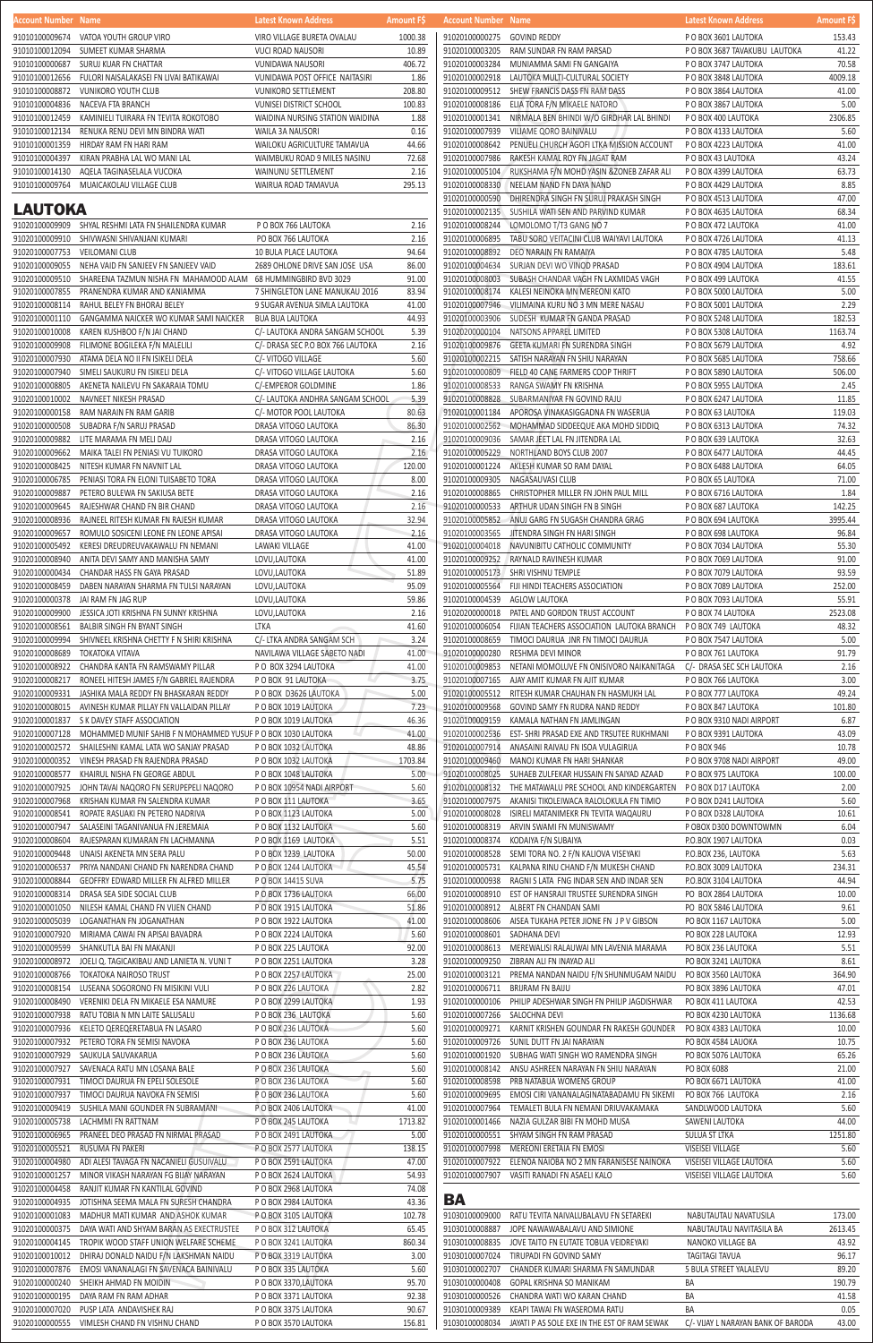SAUKULA SAUVAKARUA P O BOX 236 LAUTOKA 5.60

|                                          | P O BOX 236 LAUTOKA          | 5.60    |
|------------------------------------------|------------------------------|---------|
| TIMOCI DAURUA FN EPELI SOLESOLE          | P O BOX 236 LAUTOKA          | 5.60    |
| TIMOCI DAURUA NAVOKA FN SEMISI           | PO BOX 236 LAUTOKA           | 5.60    |
| SUSHILA MANI GOUNDER FN SUBRAMANI        | P O BOX 2406 LAUTOKA         | 41.00   |
| LACHMMI FN RATTNAM                       | P O BOX 245 LAUTOKA          | 1713.82 |
| PRANEEL DEO PRASAD FN NIRMAL PRASAD      | P O BOX 2491 LAUTOKA         | 5.00    |
| RUSUMA FN PAKERI                         | P O BOX 2577 LAUTOKA         | 138.15  |
| ADI ALESI TAVAGA FN NACANIELI GUSUIVALU  | P O BOX 2591 LAUTOKA         | 47.00   |
| MINOR VIKASH NARAYAN FG BIJAY NARAYAN    | P O BOX 2624 LAUTOKA         | 54.93   |
| RANJIT KUMAR FN KANTILAL GOVIND          | P O BOX 2968 LAUTOKA         | 74.08   |
| JOTISHNA SEEMA MALA FN SURESH CHANDRA    | P O BOX 2984 LAUTOKA         | 43.36   |
| MADHUR MATI KUMAR AND ASHOK KUMAR        | P O BOX 3105 LAUTOKA         | 102.78  |
| DAYA WATI AND SHYAM BARAN AS EXECTRUSTEE | P O BOX 312 LAUTOKA          | 65.45   |
| TROPIK WOOD STAFF UNION WELFARE SCHEME   | P O BOX 3241 LAUTOKA         | 860.34  |
| DHIRAJ DONALD NAIDU F/N LAKSHMAN NAIDU   | P O BOX 3319 LAUTOKA         | 3.00    |
| EMOSI VANANALAGI FN SAVENACA BAINIVALU   | P O BOX 335 LAUTOKA          | 5.60    |
| SHEIKH AHMAD FN MOIDIN                   | P O BOX 3370, LAUTOKA        | 95.70   |
| DAYA RAM FN RAM ADHAR                    | P O BOX 3371 LAUTOKA         | 92.38   |
| PUSP LATA ANDAVISHEK RAJ                 | P O BOX 3375 LAUTOKA         | 90.67   |
| VIMLESH CHAND FN VISHNU CHAND            | P O BOX 3570 LAUTOKA         | 156.81  |
|                                          | SAVENACA RATU MN LOSANA BALE |         |

| Account Number Name |                                                                | <b>Latest Known Address</b>       | <b>Amount FS</b> | <b>Account Number Name</b>   |                                                          | <b>Latest Known Address</b>   | <b>Amount FS</b> |
|---------------------|----------------------------------------------------------------|-----------------------------------|------------------|------------------------------|----------------------------------------------------------|-------------------------------|------------------|
|                     |                                                                |                                   |                  |                              |                                                          |                               |                  |
|                     | 91010100009674 VATOA YOUTH GROUP VIRO                          | VIRO VILLAGE BURETA OVALAU        | 1000.38          | 91020100000275               | <b>GOVIND REDDY</b>                                      | P O BOX 3601 LAUTOKA          | 153.43           |
| 91010100012094      | SUMEET KUMAR SHARMA                                            | <b>VUCI ROAD NAUSORI</b>          | 10.89            | 91020100003205               | RAM SUNDAR FN RAM PARSAD                                 | P O BOX 3687 TAVAKUBU LAUTOKA | 41.22            |
| 91010100000687      | SURUJ KUAR FN CHATTAR                                          | VUNIDAWA NAUSORI                  | 406.72           | 91020100003284               | MUNIAMMA SAMI FN GANGAIYA                                | P O BOX 3747 LAUTOKA          | 70.58            |
|                     | 91010100012656 FULORI NAISALAKASEI FN LIVAI BATIKAWAI          | VUNIDAWA POST OFFICE NAITASIRI    | 1.86             | 91020100002918               | LAUTOKA MULTI-CULTURAL SOCIETY                           | P O BOX 3848 LAUTOKA          | 4009.18          |
|                     | 91010100008872 VUNIKORO YOUTH CLUB                             | <b>VUNIKORO SETTLEMENT</b>        | 208.80           |                              | 91020100009512 SHEW FRANCIS DASS FN RAM DASS             | P O BOX 3864 LAUTOKA          | 41.00            |
| 91010100004836      | NACEVA FTA BRANCH                                              | VUNISEI DISTRICT SCHOOL           | 100.83           |                              | 91020100008186 ELIA TORA F/N MIKAELE NATORO              | P O BOX 3867 LAUTOKA          | 5.00             |
| 91010100012459      | KAMINIELI TUIRARA FN TEVITA ROKOTOBO                           | WAIDINA NURSING STATION WAIDINA   | 1.88             | 91020100001341               | NIRMALA BEN BHINDI W/O GIRDHAR LAL BHINDI                | P O BOX 400 LAUTOKA           | 2306.85          |
|                     | 91010100012134 RENUKA RENU DEVI MN BINDRA WATI                 | WAILA 3A NAUSORI                  | 0.16             |                              | 91020100007939 VILIAME QORO BAINIVALU                    | P O BOX 4133 LAUTOKA          | 5.60             |
| 91010100001359      | HIRDAY RAM FN HARI RAM                                         | WAILOKU AGRICULTURE TAMAVUA       | 44.66            |                              | 91020100008642 PENUELI CHURCH AGOFI LTKA MISSION ACCOUNT | P O BOX 4223 LAUTOKA          | 41.00            |
| 91010100004397      | KIRAN PRABHA LAL WO MANI LAL                                   | WAIMBUKU ROAD 9 MILES NASINU      | 72.68            | 91020100007986               | RAKESH KAMAL ROY FN JAGAT RAM                            | P O BOX 43 LAUTOKA            | 43.24            |
| 91010100014130      | AQELA TAGINASELALA VUCOKA                                      | WAINUNU SETTLEMENT                | 2.16             | 91020100005104               | RUKSHAMA F/N MOHD YASIN & ZONEB ZAFAR ALI                | P O BOX 4399 LAUTOKA          | 63.73            |
| 91010100009764      | MUAICAKOLAU VILLAGE CLUB                                       | WAIRUA ROAD TAMAVUA               | 295.13           | 91020100008330               | NEELAM NAND FN DAYA NAND                                 | P O BOX 4429 LAUTOKA          | 8.85             |
|                     |                                                                |                                   |                  | 91020100000590               | DHIRENDRA SINGH FN SURUJ PRAKASH SINGH                   | P O BOX 4513 LAUTOKA          | 47.00            |
| <b>LAUTOKA</b>      |                                                                |                                   |                  |                              | 91020100002135 SUSHILA WATI SEN AND PARVIND KUMAR        | P O BOX 4635 LAUTOKA          | 68.34            |
| 91020100009909      | SHYAL RESHMI LATA FN SHAILENDRA KUMAR                          | P O BOX 766 LAUTOKA               | 2.16             | 91020100008244               | LOMOLOMO T/T3 GANG NO 7                                  | P O BOX 472 LAUTOKA           | 41.00            |
|                     | 91020100009910 SHIVWASNI SHIVANJANI KUMARI                     | PO BOX 766 LAUTOKA                | 2.16             | 91020100006895               | TABU SORO VEITACINI CLUB WAIYAVI LAUTOKA                 | P O BOX 4726 LAUTOKA          | 41.13            |
|                     | 91020100007753 VEILOMANI CLUB                                  | 10 BULA PLACE LAUTOKA             | 94.64            | 91020100008892               | DEO NARAIN FN RAMAIYA                                    | P O BOX 4785 LAUTOKA          | 5.48             |
|                     | 91020100009055 NEHA VAID FN SANJEEV FN SANJEEV VAID            | 2689 OHLONE DRIVE SAN JOSE USA    | 86.00            | 91020100004634               | SURJAN DEVI WO VINOD PRASAD                              | P O BOX 4904 LAUTOKA          | 183.61           |
| 91020100009510      | SHAREENA TAZMUN NISHA FN MAHAMOOD ALAM 68 HUMMINGBIRD BVD 3029 |                                   | 91.00            | 91020100008003               | SUBASH CHANDAR VAGH FN LAXMIDAS VAGH                     |                               | 41.55            |
|                     |                                                                |                                   |                  |                              |                                                          | P O BOX 499 LAUTOKA           |                  |
| 91020100007855      | PRANENDRA KUMAR AND KANIAMMA                                   | 7 SHINGLETON LANE MANUKAU 2016    | 83.94            | 91020100008174               | KALESI NEINOKA MN MEREONI KATO                           | P O BOX 5000 LAUTOKA          | 5.00             |
| 91020100008114      | RAHUL BELEY FN BHORAJ BELEY                                    | 9 SUGAR AVENUA SIMLA LAUTOKA      | 41.00            |                              | 91020100007946 VILIMAINA KURU NO 3 MN MERE NASAU         | P O BOX 5001 LAUTOKA          | 2.29             |
| 91020100001110      | GANGAMMA NAICKER WO KUMAR SAMI NAICKER                         | <b>BUA BUA LAUTOKA</b>            | 44.93            |                              | 91020100003906 SUDESH KUMAR FN GANDA PRASAD              | P O BOX 5248 LAUTOKA          | 182.53           |
| 91020100010008      | KAREN KUSHBOO F/N JAI CHAND                                    | C/- LAUTOKA ANDRA SANGAM SCHOOL   | 5.39             | 91020200000104               | NATSONS APPAREL LIMITED                                  | P O BOX 5308 LAUTOKA          | 1163.74          |
| 91020100009908      | FILIMONE BOGILEKA F/N MALELILI                                 | C/- DRASA SEC P.O BOX 766 LAUTOKA | 2.16             | 91020100009876               | GEETA KUMARI FN SURENDRA SINGH                           | P O BOX 5679 LAUTOKA          | 4.92             |
|                     | 91020100007930 ATAMA DELA NO II FN ISIKELI DELA                | C/- VITOGO VILLAGE                | 5.60             |                              | 91020100002215 SATISH NARAYAN FN SHIU NARAYAN            | P O BOX 5685 LAUTOKA          | 758.66           |
|                     | 91020100007940 SIMELI SAUKURU FN ISIKELI DELA                  | C/- VITOGO VILLAGE LAUTOKA        | 5.60             |                              | 91020100000809 FIELD 40 CANE FARMERS COOP THRIFT         | P O BOX 5890 LAUTOKA          | 506.00           |
| 91020100008805      | AKENETA NAILEVU FN SAKARAIA TOMU                               | C/-EMPEROR GOLDMINE               | 1.86             | 91020100008533               | RANGA SWAMY FN KRISHNA                                   | P O BOX 5955 LAUTOKA          | 2.45             |
| 91020100010002      | NAVNEET NIKESH PRASAD                                          | C/- LAUTOKA ANDHRA SANGAM SCHOOL  | 5.39             | 91020100008828               | SUBARMANIYAR FN GOVIND RAJU                              | P O BOX 6247 LAUTOKA          | 11.85            |
| 91020100000158      | RAM NARAIN FN RAM GARIB                                        | C/- MOTOR POOL LAUTOKA            | 80.63            | 91020100001184               | APOROSA VINAKASIGGADNA FN WASERUA                        | P O BOX 63 LAUTOKA            | 119.03           |
|                     | 91020100000508 SUBADRA F/N SARUJ PRASAD                        | DRASA VITOGO LAUTOKA              | 86.30            |                              | 91020100002562 MOHAMMAD SIDDEEQUE AKA MOHD SIDDIQ        | P O BOX 6313 LAUTOKA          | 74.32            |
|                     | 91020100009882 LITE MARAMA FN MELI DAU                         | DRASA VITOGO LAUTOKA              | 2.16             | 91020100009036               | SAMAR JEET LAL FN JITENDRA LAL                           | P O BOX 639 LAUTOKA           | 32.63            |
|                     | 91020100009662 MAIKA TALEI FN PENIASI VU TUIKORO               | DRASA VITOGO LAUTOKA              | 2.16             | 91020100005229               | NORTHLAND BOYS CLUB 2007                                 | P O BOX 6477 LAUTOKA          | 44.45            |
|                     | 91020100008425 NITESH KUMAR FN NAVNIT LAL                      | DRASA VITOGO LAUTOKA              | 120.00           |                              | 91020100001224 AKLESH KUMAR SO RAM DAYAL                 | P O BOX 6488 LAUTOKA          | 64.05            |
|                     | 91020100006785 PENIASI TORA FN ELONI TUISABETO TORA            | DRASA VITOGO LAUTOKA              | 8.00             | 91020100009305               | NAGASAUVASI CLUB                                         | P O BOX 65 LAUTOKA            | 71.00            |
| 91020100009887      | PETERO BULEWA FN SAKIUSA BETE                                  | DRASA VITOGO LAUTOKA              | 2.16             | 91020100008865               | CHRISTOPHER MILLER FN JOHN PAUL MILL                     | P O BOX 6716 LAUTOKA          | 1.84             |
| 91020100009645      | RAJESHWAR CHAND FN BIR CHAND                                   | DRASA VITOGO LAUTOKA              | 2.16             | 91020100000533               | ARTHUR UDAN SINGH FN B SINGH                             | P O BOX 687 LAUTOKA           | 142.25           |
|                     |                                                                |                                   |                  |                              |                                                          |                               |                  |
| 91020100008936      | RAJNEEL RITESH KUMAR FN RAJESH KUMAR                           | DRASA VITOGO LAUTOKA              | 32.94            | 91020100005852               | ANUJ GARG FN SUGASH CHANDRA GRAG                         | P O BOX 694 LAUTOKA           | 3995.44          |
| 91020100009657      | ROMULO SOSICENI LEONE FN LEONE APISAI                          | DRASA VITOGO LAUTOKA              | 2.16             | 91020100003565               | JITENDRA SINGH FN HARI SINGH                             | P O BOX 698 LAUTOKA           | 96.84            |
|                     | 91020100005492 KERESI DREUDREUVAKAWALU FN NEMANI               | LAWAKI VILLAGE                    | 41.00            |                              | 91020100004018 NAVUNIBITU CATHOLIC COMMUNITY             | P O BOX 7034 LAUTOKA          | 55.30            |
|                     | 91020100008940 ANITA DEVI SAMY AND MANISHA SAMY                | LOVU.LAUTOKA                      | 41.00            |                              | 91020100009252 RAYNALD RAVINESH KUMAR                    | P O BOX 7069 LAUTOKA          | 91.00            |
|                     | 91020100000434 CHANDAR HASS FN GAYA PRASAD                     | LOVU,LAUTOKA                      | 51.89            |                              | 91020100005173 SHRI VISHNU TEMPLE                        | P O BOX 7079 LAUTOKA          | 93.59            |
|                     | 91020100008459 DABEN NARAYAN SHARMA FN TULSI NARAYAN           | LOVU,LAUTOKA                      | 95.09            |                              | 91020100005564 FIJI HINDI TEACHERS ASSOCIATION           | P O BOX 7089 LAUTOKA          | 252.00           |
|                     | 91020100000378 JAI RAM FN JAG RUP                              | LOVU,LAUTOKA                      | 59.86            |                              | 91020100004539 AGLOW LAUTOKA                             | P O BOX 7093 LAUTOKA          | 55.91            |
| 91020100009900      | JESSICA JOTI KRISHNA FN SUNNY KRISHNA                          | LOVU,LAUTOKA                      | 2.16             |                              | 91020200000018 PATEL AND GORDON TRUST ACCOUNT            | P O BOX 74 LAUTOKA            | 2523.08          |
| 91020100008561      | BALBIR SINGH FN BYANT SINGH                                    | ltka                              | 41.60            | 91020100006054               | FIJIAN TEACHERS ASSOCIATION LAUTOKA BRANCH               | P O BOX 749 LAUTOKA           | 48.32            |
| 91020100009994      | SHIVNEEL KRISHNA CHETTY F N SHIRI KRISHNA                      | C/- LTKA ANDRA SANGAM SCH         | 3.24             | 91020100008659               | TIMOCI DAURUA JNR FN TIMOCI DAURUA                       | P O BOX 7547 LAUTOKA          | 5.00             |
| 91020100008689      | TOKATOKA VITAVA                                                | NAVILAWA VILLAGE SABETO NADI      | 41.00            | 91020100000280               | <b>RESHMA DEVI MINOR</b>                                 | P O BOX 761 LAUTOKA           | 91.79            |
|                     | 91020100008922 CHANDRA KANTA FN RAMSWAMY PILLAR                | PO BOX 3294 LAUTOKA               | 41.00            | 91020100009853               | NETANI MOMOLUVE FN ONISIVORO NAIKANITAGA                 | C/- DRASA SEC SCH LAUTOKA     | 2.16             |
|                     | 91020100008217 RONEEL HITESH JAMES F/N GABRIEL RAJENDRA        | P O BOX 91 LAUTOKA                | 3.75             |                              | 91020100007165 AJAY AMIT KUMAR FN AJIT KUMAR             | P O BOX 766 LAUTOKA           | 3.00             |
|                     | 91020100009331 JASHIKA MALA REDDY FN BHASKARAN REDDY           | P O BOX D3626 LAUTOKA             | 5.00             |                              | 91020100005512 RITESH KUMAR CHAUHAN FN HASMUKH LAL       | P O BOX 777 LAUTOKA           | 49.24            |
|                     | 91020100008015 AVINESH KUMAR PILLAY FN VALLAIDAN PILLAY        | P O BOX 1019 LAUTOKA              | 7.23             | 91020100009568               | GOVIND SAMY FN RUDRA NAND REDDY                          | P O BOX 847 LAUTOKA           | 101.80           |
|                     | 91020100001837 S K DAVEY STAFF ASSOCIATION                     | P O BOX 1019 LAUTOKA              | 46.36            | 91020100009159               | KAMALA NATHAN FN JAMLINGAN                               | P O BOX 9310 NADI AIRPORT     | 6.87             |
| 91020100007128      | MOHAMMED MUNIF SAHIB F N MOHAMMED YUSUF P O BOX 1030 LAUTOKA   |                                   | 41.00            | 91020100002536               | EST- SHRI PRASAD EXE AND TRSUTEE RUKHMANI                | P O BOX 9391 LAUTOKA          | 43.09            |
| 91020100002572      | SHAILESHNI KAMAL LATA WO SANJAY PRASAD                         | P O BOX 1032 LAUTOKA              | 48.86            | 91020100007914               | ANASAINI RAIVAU FN ISOA VULAGIRUA                        | P O BOX 946                   | 10.78            |
|                     | 91020100000352 VINESH PRASAD FN RAJENDRA PRASAD                | P O BOX 1032 LAUTOKA              | 1703.84          | 91020100009460               | MANOJ KUMAR FN HARI SHANKAR                              | P O BOX 9708 NADI AIRPORT     | 49.00            |
|                     | 91020100008577 KHAIRUL NISHA FN GEORGE ABDUL                   | P O BOX 1048 LAUTOKA              | 5.00             |                              | 91020100008025 SUHAEB ZULFEKAR HUSSAIN FN SAIYAD AZAAD   | P O BOX 975 LAUTOKA           | 100.00           |
| 91020100007925      | JOHN TAVAI NAQORO FN SERUPEPELI NAQORO                         | P O BOX 10954 NADI AIRPORT        | 5.60             | 91020100008132               | THE MATAWALU PRE SCHOOL AND KINDERGARTEN                 | P O BOX D17 LAUTOKA           | 2.00             |
| 91020100007968      | KRISHAN KUMAR FN SALENDRA KUMAR                                | P O BOX 111 LAUTOKA               | 3.65             |                              | 91020100007975 AKANISI TIKOLEIWACA RALOLOKULA FN TIMIO   | P O BOX D241 LAUTOKA          | 5.60             |
|                     |                                                                |                                   |                  |                              |                                                          |                               |                  |
|                     | 91020100008541 ROPATE RASUAKI FN PETERO NADRIVA                | P O BOX 1123 LAUTOKA              | 5.00             |                              | 91020100008028 ISIRELI MATANIMEKR FN TEVITA WAQAURU      | P O BOX D328 LAUTOKA          | 10.61            |
|                     | 91020100007947 SALASEINI TAGANIVANUA FN JEREMAIA               | P O BOX 1132 LAUTOKA              | 5.60             |                              | 91020100008319 ARVIN SWAMI FN MUNISWAMY                  | P OBOX D300 DOWNTOWMN         | 6.04             |
| 91020100008604      | RAJESPARAN KUMARAN FN LACHMANNA                                | P O BOX 1169 LAUTOKA              | 5.51             |                              | 91020100008374 KODAIYA F/N SUBAIYA                       | P.O.BOX 1907 LAUTOKA          | 0.03             |
| 91020100009448      | UNAISI AKENETA MN SERA PALU                                    | P O BOX 1239 LAUTOKA              | 50.00            |                              | 91020100008528 SEMI TORA NO. 2 F/N KALIOVA VISEYAKI      | P.O.BOX 236, LAUTOKA          | 5.63             |
| 91020100006537      | PRIYA NANDANI CHAND FN NARENDRA CHAND                          | P O BOX 1244 LAUTOKA              | 45.54            |                              | 91020100005731 KALPANA RINU CHAND F/N MUKESH CHAND       | P.O.BOX 3009 LAUTOKA          | 234.31           |
| 91020100008844      | GEOFFRY EDWARD MILLER FN ALFRED MILLER                         | P O BOX 14415 SUVA                | 5.75             | 91020100000938               | RAGNI S LATA FNG INDAR SEN AND INDAR SEN                 | P.O.BOX 3104 LAUTOKA          | 44.94            |
| 91020100008314      | DRASA SEA SIDE SOCIAL CLUB                                     | P O BOX 1736 LAUTOKA              | 66.00            |                              | 91020100008910 EST OF HANSRAJI TRUSTEE SURENDRA SINGH    | PO BOX 2864 LAUTOKA           | 10.00            |
| 91020100001050      | NILESH KAMAL CHAND FN VIJEN CHAND                              | P O BOX 1915 LAUTOKA              | 51.86            |                              | 91020100008912 ALBERT FN CHANDAN SAMI                    | PO BOX 5846 LAUTOKA           | 9.61             |
| 91020100005039      | LOGANATHAN FN JOGANATHAN                                       | P O BOX 1922 LAUTOKA              | 41.00            | 91020100008606               | AISEA TUKAHA PETER JIONE FN J P V GIBSON                 | PO BOX 1167 LAUTOKA           | 5.00             |
|                     | 91020100007920 MIRIAMA CAWAI FN APISAI BAVADRA                 | P O BOX 2224 LAUTOKA              | 5.60             | 91020100008601 SADHANA DEVI  |                                                          | PO BOX 228 LAUTOKA            | 12.93            |
|                     | 91020100009599 SHANKUTLA BAI FN MAKANJI                        | P O BOX 225 LAUTOKA               | 92.00            |                              | 91020100008613 MEREWALISI RALAUWAI MN LAVENIA MARAMA     | PO BOX 236 LAUTOKA            | 5.51             |
| 91020100008972      | JOELI Q. TAGICAKIBAU AND LANIETA N. VUNI T                     | P O BOX 2251 LAUTOKA              | 3.28             | 91020100009250               | ZIBRAN ALI FN INAYAD ALI                                 | PO BOX 3241 LAUTOKA           | 8.61             |
| 91020100008766      | TOKATOKA NAIROSO TRUST                                         | P O BOX 2257 LAUTOKA              | 25.00            | 91020100003121               | PREMA NANDAN NAIDU F/N SHUNMUGAM NAIDU                   | PO BOX 3560 LAUTOKA           | 364.90           |
| 91020100008154      | LUSEANA SOGORONO FN MISIKINI VULI                              | PO BOX 226 LAUTOKA                | 2.82             | 91020100006711               | BRIJRAM FN BAIJU                                         | PO BOX 3896 LAUTOKA           | 47.01            |
| 91020100008490      | VERENIKI DELA FN MIKAELE ESA NAMURE                            | P O BOX 2299 LAUTOKA              | 1.93             | 91020100000106               | PHILIP ADESHWAR SINGH FN PHILIP JAGDISHWAR               | PO BOX 411 LAUTOKA            | 42.53            |
|                     | 91020100007938 RATU TOBIA N MN LAITE SALUSALU                  | PO BOX 236 LAUTOKA                | 5.60             | 91020100007266 SALOCHNA DEVI |                                                          | PO BOX 4230 LAUTOKA           | 1136.68          |
|                     | 91020100007936 KELETO QEREQERETABUA FN LASARO                  | P O BOX 236 LAUTOKA               | 5.60             |                              | 91020100009271 KARNIT KRISHEN GOUNDAR FN RAKESH GOUNDER  | PO BOX 4383 LAUTOKA           | 10.00            |
|                     | 91020100007932 PETERO TORA FN SEMISI NAVOKA                    | P O BOX 236 LAUTOKA               | 5.60             |                              | 91020100009726 SUNIL DUTT FN JAI NARAYAN                 | PO BOX 4584 LAUOKA            | 10.75            |

| 91020100000275 GOVIND REDDY |                                                                | P O BOX 3601 LAUTOKA               | 153.43  |
|-----------------------------|----------------------------------------------------------------|------------------------------------|---------|
| 91020100003205              | RAM SUNDAR FN RAM PARSAD                                       | P O BOX 3687 TAVAKUBU LAUTOKA      | 41.22   |
| 91020100003284              | MUNIAMMA SAMI FN GANGAIYA                                      | P O BOX 3747 LAUTOKA               | 70.58   |
|                             |                                                                |                                    |         |
| 91020100002918              | LAUTOKA MULTI-CULTURAL SOCIETY                                 | P O BOX 3848 LAUTOKA               | 4009.18 |
| 91020100009512              | SHEW FRANCIS DASS FN RAM DASS                                  | P O BOX 3864 LAUTOKA               | 41.00   |
| 91020100008186              | ELIA TORA F/N MIKAELE NATORO                                   | P O BOX 3867 LAUTOKA               | 5.00    |
| 91020100001341              | NIRMALA BEN BHINDI W/O GIRDHAR LAL BHINDI                      | P O BOX 400 LAUTOKA                | 2306.85 |
| 91020100007939              | VILIAME QORO BAINIVALU                                         | P O BOX 4133 LAUTOKA               | 5.60    |
| 91020100008642              | PENUELI CHURCH AGOFI LTKA MISSION ACCOUNT                      | P O BOX 4223 LAUTOKA               | 41.00   |
| 91020100007986              | RAKESH KAMAL ROY FN JAGAT RAM                                  | P O BOX 43 LAUTOKA                 | 43.24   |
| 91020100005104              | RUKSHAMA F/N MOHD YASIN & ZONEB ZAFAR ALI                      | P O BOX 4399 LAUTOKA               | 63.73   |
| 91020100008330              | NEELAM NAND FN DAYA NAND                                       | P O BOX 4429 LAUTOKA               | 8.85    |
| 91020100000590              | DHIRENDRA SINGH FN SURUJ PRAKASH SINGH                         | P O BOX 4513 LAUTOKA               | 47.00   |
| 91020100002135              | SUSHILA WATI SEN AND PARVIND KUMAR                             | P O BOX 4635 LAUTOKA               | 68.34   |
| 91020100008244              | LOMOLOMO T/T3 GANG NO 7                                        | P O BOX 472 LAUTOKA                | 41.00   |
| 91020100006895              | TABU SORO VEITACINI CLUB WAIYAVI LAUTOKA                       | P O BOX 4726 LAUTOKA               | 41.13   |
| 91020100008892              | DEO NARAIN FN RAMAIYA                                          | P O BOX 4785 LAUTOKA               | 5.48    |
| 91020100004634              | SURJAN DEVI WO VINOD PRASAD                                    | P O BOX 4904 LAUTOKA               | 183.61  |
| 91020100008003              | SUBASH CHANDAR VAGH FN LAXMIDAS VAGH                           | P O BOX 499 LAUTOKA                | 41.55   |
| 91020100008174              | KALESI NEINOKA MN MEREONI KATO                                 | P O BOX 5000 LAUTOKA               | 5.00    |
| 91020100007946              | VILIMAINA KURU NO 3 MN MERE NASAU                              | P O BOX 5001 LAUTOKA               | 2.29    |
| 91020100003906              | SUDESH KUMAR FN GANDA PRASAD                                   | P O BOX 5248 LAUTOKA               | 182.53  |
| 91020200000104              | NATSONS APPAREL LIMITED                                        | P O BOX 5308 LAUTOKA               | 1163.74 |
| 91020100009876              | GEETA KUMARI FN SURENDRA SINGH                                 | P O BOX 5679 LAUTOKA               | 4.92    |
|                             |                                                                |                                    |         |
| 91020100002215              | SATISH NARAYAN FN SHIU NARAYAN                                 | P O BOX 5685 LAUTOKA               | 758.66  |
|                             | 91020100000809 FIELD 40 CANE FARMERS COOP THRIFT               | P O BOX 5890 LAUTOKA               | 506.00  |
| 91020100008533              | RANGA SWAMY FN KRISHNA                                         | P O BOX 5955 LAUTOKA               | 2.45    |
|                             | 91020100008828 SUBARMANIYAR FN GOVIND RAJU                     | P O BOX 6247 LAUTOKA               | 11.85   |
| 91020100001184              | APOROSA VINAKASIGGADNA FN WASERUA                              | P O BOX 63 LAUTOKA                 | 119.03  |
|                             | 91020100002562 MOHAMMAD SIDDEEQUE AKA MOHD SIDDIQ              | P O BOX 6313 LAUTOKA               | 74.32   |
| 91020100009036              | SAMAR JEET LAL FN JITENDRA LAL                                 | P O BOX 639 LAUTOKA                | 32.63   |
| 91020100005229              | NORTHLAND BOYS CLUB 2007                                       | P O BOX 6477 LAUTOKA               | 44.45   |
| 91020100001224              | AKLESH KUMAR SO RAM DAYAL                                      | P O BOX 6488 LAUTOKA               | 64.05   |
| 91020100009305              | NAGASAUVASI CLUB                                               | P O BOX 65 LAUTOKA                 | 71.00   |
| 91020100008865              | CHRISTOPHER MILLER FN JOHN PAUL MILL                           | P O BOX 6716 LAUTOKA               | 1.84    |
| 91020100000533              | ARTHUR UDAN SINGH FN B SINGH                                   | P O BOX 687 LAUTOKA                | 142.25  |
|                             | 91020100005852 ANUJ GARG FN SUGASH CHANDRA GRAG                | P O BOX 694 LAUTOKA                | 3995.44 |
|                             | JITENDRA SINGH FN HARI SINGH                                   |                                    | 96.84   |
| 91020100003565              |                                                                | P O BOX 698 LAUTOKA                |         |
|                             | 91020100004018 NAVUNIBITU CATHOLIC COMMUNITY                   | P O BOX 7034 LAUTOKA               | 55.30   |
|                             | 91020100009252 RAYNALD RAVINESH KUMAR                          | P O BOX 7069 LAUTOKA               | 91.00   |
| 91020100005173              | SHRI VISHNU TEMPLE                                             | P O BOX 7079 LAUTOKA               | 93.59   |
| 91020100005564              | FIJI HINDI TEACHERS ASSOCIATION                                | P O BOX 7089 LAUTOKA               | 252.00  |
| 91020100004539              | AGLOW LAUTOKA                                                  | P O BOX 7093 LAUTOKA               | 55.91   |
| 91020200000018              | PATEL AND GORDON TRUST ACCOUNT                                 | P O BOX 74 LAUTOKA                 | 2523.08 |
| 91020100006054              | FIJIAN TEACHERS ASSOCIATION LAUTOKA BRANCH P O BOX 749 LAUTOKA |                                    | 48.32   |
| 91020100008659              | TIMOCI DAURUA JNR FN TIMOCI DAURUA                             | P O BOX 7547 LAUTOKA               | 5.00    |
| 91020100000280              | RESHMA DEVI MINOR                                              | P O BOX 761 LAUTOKA                | 91.79   |
| 91020100009853              | NETANI MOMOLUVE FN ONISIVORO NAIKANITAGA                       | C/- DRASA SEC SCH LAUTOKA          | 2.16    |
| 91020100007165              | AJAY AMIT KUMAR FN AJIT KUMAR                                  | P O BOX 766 LAUTOKA                | 3.00    |
| 91020100005512              | RITESH KUMAR CHAUHAN FN HASMUKH LAL                            | P O BOX 777 LAUTOKA                | 49.24   |
|                             |                                                                |                                    |         |
| 91020100009568              | GOVIND SAMY FN RUDRA NAND REDDY                                | P O BOX 847 LAUTOKA                | 101.80  |
| 91020100009159              | KAMALA NATHAN FN JAMLINGAN                                     | P O BOX 9310 NADI AIRPORT          | 6.87    |
| 91020100002536              | EST- SHRI PRASAD EXE AND TRSUTEE RUKHMANI                      | P O BOX 9391 LAUTOKA               | 43.09   |
| 91020100007914              | ANASAINI RAIVAU FN ISOA VULAGIRUA                              | P O BOX 946                        | 10.78   |
| 91020100009460              | MANOJ KUMAR FN HARI SHANKAR                                    | P O BOX 9708 NADI AIRPORT          | 49.00   |
| 91020100008025              | SUHAEB ZULFEKAR HUSSAIN FN SAIYAD AZAAD                        | P O BOX 975 LAUTOKA                | 100.00  |
| 91020100008132              | THE MATAWALU PRE SCHOOL AND KINDERGARTEN                       | P O BOX D17 LAUTOKA                | 2.00    |
| 91020100007975              | AKANISI TIKOLEIWACA RALOLOKULA FN TIMIO                        | P O BOX D241 LAUTOKA               | 5.60    |
| 91020100008028              | ISIRELI MATANIMEKR FN TEVITA WAQAURU                           | P O BOX D328 LAUTOKA               | 10.61   |
| 91020100008319              | ARVIN SWAMI FN MUNISWAMY                                       | P OBOX D300 DOWNTOWMN              | 6.04    |
|                             | 91020100008374 KODAIYA F/N SUBAIYA                             | P.O.BOX 1907 LAUTOKA               | 0.03    |
| 91020100008528              | SEMI TORA NO. 2 F/N KALIOVA VISEYAKI                           | P.O.BOX 236, LAUTOKA               | 5.63    |
| 91020100005731              | KALPANA RINU CHAND F/N MUKESH CHAND                            | P.O.BOX 3009 LAUTOKA               | 234.31  |
| 91020100000938              | RAGNI S LATA FNG INDAR SEN AND INDAR SEN                       | P.O.BOX 3104 LAUTOKA               | 44.94   |
| 91020100008910              | EST OF HANSRAJI TRUSTEE SURENDRA SINGH                         | PO BOX 2864 LAUTOKA                | 10.00   |
| 91020100008912              | ALBERT FN CHANDAN SAMI                                         | PO BOX 5846 LAUTOKA                | 9.61    |
| 91020100008606              | AISEA TUKAHA PETER JIONE FN J P V GIBSON                       | PO BOX 1167 LAUTOKA                | 5.00    |
| 91020100008601              | SADHANA DEVI                                                   | PO BOX 228 LAUTOKA                 | 12.93   |
| 91020100008613              | MEREWALISI RALAUWAI MN LAVENIA MARAMA                          | PO BOX 236 LAUTOKA                 | 5.51    |
| 91020100009250              | ZIBRAN ALI FN INAYAD ALI                                       | PO BOX 3241 LAUTOKA                | 8.61    |
| 91020100003121              |                                                                | PO BOX 3560 LAUTOKA                | 364.90  |
|                             | PREMA NANDAN NAIDU F/N SHUNMUGAM NAIDU                         |                                    |         |
| 91020100006711              | <b>BRIJRAM FN BAIJU</b>                                        | PO BOX 3896 LAUTOKA                | 47.01   |
| 91020100000106              | PHILIP ADESHWAR SINGH FN PHILIP JAGDISHWAR                     | PO BOX 411 LAUTOKA                 | 42.53   |
| 91020100007266              | SALOCHNA DEVI                                                  | PO BOX 4230 LAUTOKA                | 1136.68 |
| 91020100009271              | KARNIT KRISHEN GOUNDAR FN RAKESH GOUNDER                       | PO BOX 4383 LAUTOKA                | 10.00   |
| 91020100009726              | SUNIL DUTT FN JAI NARAYAN                                      | PO BOX 4584 LAUOKA                 | 10.75   |
| 91020100001920              | SUBHAG WATI SINGH WO RAMENDRA SINGH                            | PO BOX 5076 LAUTOKA                | 65.26   |
| 91020100008142              | ANSU ASHREEN NARAYAN FN SHIU NARAYAN                           | PO BOX 6088                        | 21.00   |
| 91020100008598              | PRB NATABUA WOMENS GROUP                                       | PO BOX 6671 LAUTOKA                | 41.00   |
| 91020100009695              | EMOSI CIRI VANANALAGINATABADAMU FN SIKEMI                      | PO BOX 766 LAUTOKA                 | 2.16    |
| 91020100007964              | TEMALETI BULA FN NEMANI DRIUVAKAMAKA                           | SANDLWOOD LAUTOKA                  | 5.60    |
| 91020100001466              | NAZIA GULZAR BIBI FN MOHD MUSA                                 | SAWENI LAUTOKA                     | 44.00   |
| 91020100000551              | SHYAM SINGH FN RAM PRASAD                                      | SULUA ST LTKA                      | 1251.80 |
| 91020100007998              | MEREONI ERETAIA FN EMOSI                                       | VISEISEI VILLAGE                   | 5.60    |
| 91020100007922              | ELENOA NAIOBA NO 2 MN FARANISESE NAINOKA                       | VISEISEI VILLAGE LAUTOKA           | 5.60    |
| 91020100007907              | VASITI RANADI FN ASAELI KALO                                   | VISEISEI VILLAGE LAUTOKA           | 5.60    |
|                             |                                                                |                                    |         |
| BA                          |                                                                |                                    |         |
| 91030100009000              | RATU TEVITA NAIVALUBALAVU FN SETAREKI                          | NABUTAUTAU NAVATUSILA              | 173.00  |
| 91030100008887              | JOPE NAWAWABALAVU AND SIMIONE                                  | NABUTAUTAU NAVITASILA BA           |         |
|                             |                                                                |                                    | 2613.45 |
| 91030100008835              | JOVE TAITO FN EUTATE TOBUA VEIDREYAKI                          | NANOKO VILLAGE BA                  | 43.92   |
| 91030100007024              | TIRUPADI FN GOVIND SAMY                                        | TAGITAGI TAVUA                     | 96.17   |
| 91030100002707              | CHANDER KUMARI SHARMA FN SAMUNDAR                              | 5 BULA STREET YALALEVU             | 89.20   |
| 91030100000408              | GOPAL KRISHNA SO MANIKAM                                       | BA                                 | 190.79  |
| 91030100000526              | CHANDRA WATI WO KARAN CHAND                                    | BA                                 | 41.58   |
| 91030100009389              | KEAPI TAWAI FN WASEROMA RATU                                   | BA                                 | 0.05    |
| 91030100008034              | JAYATI P AS SOLE EXE IN THE EST OF RAM SEWAK                   | C/- VIJAY L NARAYAN BANK OF BARODA | 43.00   |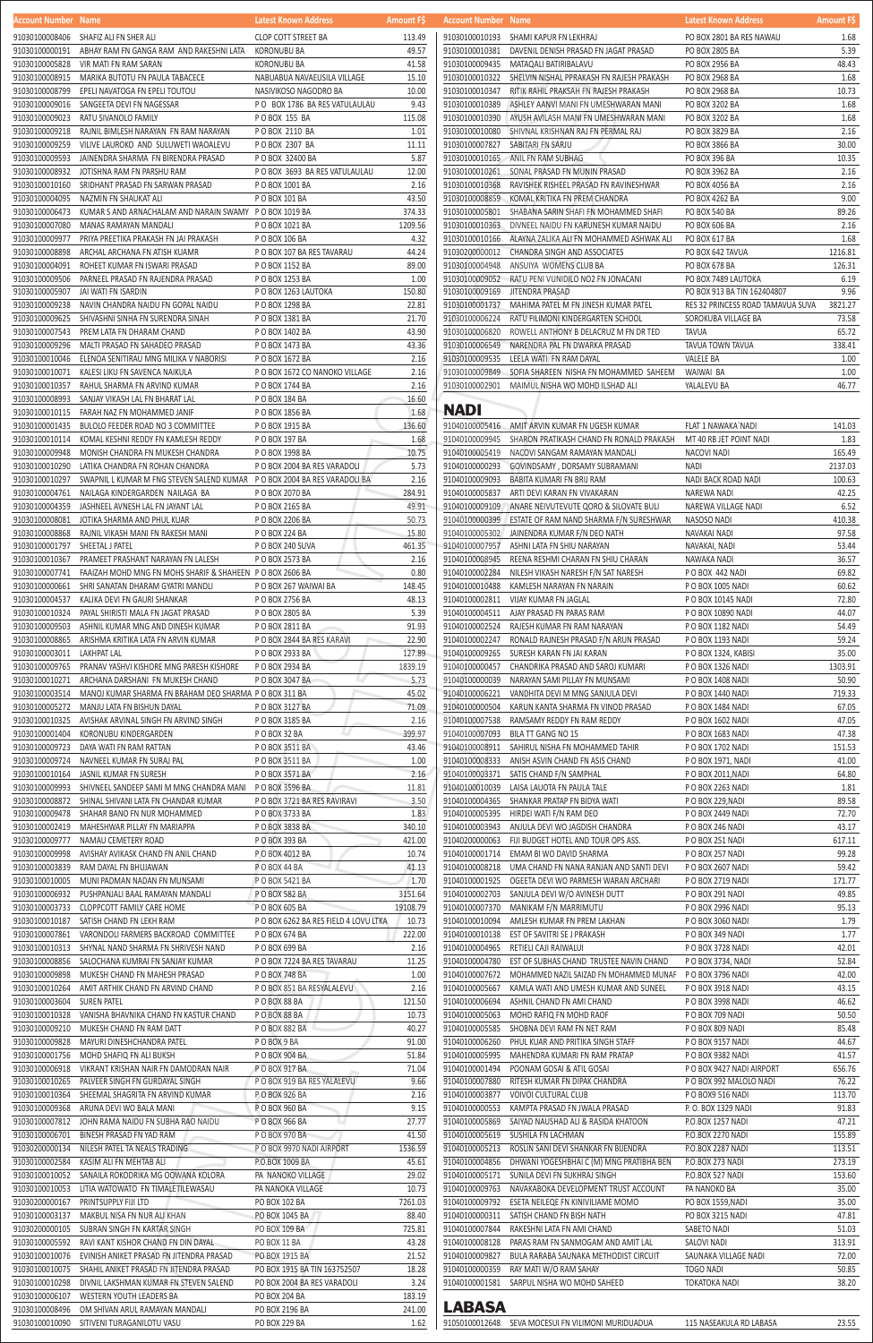| <b>HULUUIILIVUIIIDEI IVAIIIE</b> |                                                                           | <b>LALEST MIDWIT MUULESS</b>                  | <b>AIIIUUIIL FJ</b> |
|----------------------------------|---------------------------------------------------------------------------|-----------------------------------------------|---------------------|
| 91030100008406                   | SHAFIZ ALI FN SHER ALI                                                    | CLOP COTT STREET BA                           | 113.49              |
| 91030100000191                   | ABHAY RAM FN GANGA RAM AND RAKESHNI LATA                                  | KORONUBU BA                                   | 49.57               |
| 91030100005828                   | VIR MATI FN RAM SARAN                                                     | KORONUBU BA                                   | 41.58               |
| 91030100008915                   | MARIKA BUTOTU FN PAULA TABACECE                                           | NABUABUA NAVAEUSILA VILLAGE                   | 15.10               |
| 91030100008799                   | EPELI NAVATOGA FN EPELI TOUTOU                                            | NASIVIKOSO NAGODRO BA                         | 10.00               |
| 91030100009016                   | SANGEETA DEVI FN NAGESSAR                                                 | PO BOX 1786 BA RES VATULAULAU                 | 9.43                |
| 91030100009023                   | RATU SIVANOLO FAMILY                                                      | PO BOX 155 BA                                 | 115.08              |
| 91030100009218                   | RAJNIL BIMLESH NARAYAN FN RAM NARAYAN                                     | POBOX 2110 BA                                 | 1.01                |
| 91030100009259                   | VILIVE LAUROKO AND SULUWETI WAOALEVU                                      | P O BOX 2307 BA                               | 11.11               |
| 91030100009593                   | JAINENDRA SHARMA FN BIRENDRA PRASAD                                       | P O BOX 32400 BA                              | 5.87                |
| 91030100008932                   | JOTISHNA RAM FN PARSHU RAM                                                | P O BOX 3693 BA RES VATULAULAU                | 12.00               |
| 91030100010160                   | SRIDHANT PRASAD FN SARWAN PRASAD                                          | P O BOX 1001 BA                               | 2.16                |
| 91030100004095                   | NAZMIN FN SHAUKAT ALI                                                     | P O BOX 101 BA                                | 43.50               |
| 91030100006473                   | KUMAR SAND ARNACHALAM AND NARAIN SWAMY PO BOX 1019 BA                     |                                               | 374.33              |
| 91030100007080                   | MANAS RAMAYAN MANDALI                                                     | P O BOX 1021 BA                               | 1209.56             |
| 91030100009977                   | PRIYA PREETIKA PRAKASH FN JAI PRAKASH                                     | P O BOX 106 BA                                | 4.32                |
| 91030100008898                   | ARCHAL ARCHANA FN ATISH KUAMR                                             | P O BOX 107 BA RES TAVARAU                    | 44.24               |
| 91030100004091                   | ROHEET KUMAR FN ISWARI PRASAD                                             | P O BOX 1152 BA                               | 89.00               |
| 91030100009506                   | PARNEEL PRASAD FN RAJENDRA PRASAD                                         | P O BOX 1253 BA                               | 1.00                |
| 91030100005907                   | JAI WATI FN ISARDIN                                                       | P O BOX 1263 LAUTOKA                          | 150.80              |
| 91030100009238                   | NAVIN CHANDRA NAIDU FN GOPAL NAIDU                                        | P O BOX 1298 BA                               | 22.81               |
| 91030100009625                   | SHIVASHNI SINHA FN SURENDRA SINAH                                         | P O BOX 1381 BA                               | 21.70               |
| 91030100007543                   | PREM LATA FN DHARAM CHAND                                                 | P O BOX 1402 BA                               | 43.90               |
| 91030100009296                   | MALTI PRASAD FN SAHADEO PRASAD                                            | P O BOX 1473 BA                               | 43.36               |
| 91030100010046                   | ELENOA SENITIRAU MNG MILIKA V NABORISI                                    | P O BOX 1672 BA                               | 2.16                |
| 91030100010071                   | KALESI LIKU FN SAVENCA NAIKULA                                            | P O BOX 1672 CO NANOKO VILLAGE                | 2.16                |
| 91030100010357                   | RAHUL SHARMA FN ARVIND KUMAR                                              | P O BOX 1744 BA                               | 2.16                |
| 91030100008993                   | SANJAY VIKASH LAL FN BHARAT LAL                                           | P O BOX 184 BA                                | 16.60               |
| 91030100010115                   | FARAH NAZ FN MOHAMMED JANIF                                               | P O BOX 1856 BA                               | 1.68                |
| 91030100001435                   | BULOLO FEEDER ROAD NO 3 COMMITTEE                                         | P O BOX 1915 BA                               | 136.60              |
| 91030100010114                   | KOMAL KESHNI REDDY FN KAMLESH REDDY                                       | P O BOX 197 BA                                | 1.68                |
| 91030100009948                   | MONISH CHANDRA FN MUKESH CHANDRA                                          | P O BOX 1998 BA                               | 10.75               |
| 91030100010290                   | LATIKA CHANDRA FN ROHAN CHANDRA                                           | P O BOX 2004 BA RES VARADOLI                  | 5.73                |
| 91030100010297                   | SWAPNIL L KUMAR M FNG STEVEN SALEND KUMAR P O BOX 2004 BA RES VARADOLI BA |                                               | 2.16                |
| 91030100004761                   | NAILAGA KINDERGARDEN NAILAGA BA                                           | P O BOX 2070 BA                               | 284.91              |
| 91030100004359                   | JASHNEEL AVNESH LAL FN JAYANT LAL                                         | P O BOX 2165 BA                               | 49.91               |
| 91030100008081                   | JOTIKA SHARMA AND PHUL KUAR                                               | P O BOX 2206 BA                               | 50.73               |
|                                  | 91030100008868 RAJNIL VIKASH MANI FN RAKESH MANI                          | P O BOX 224 BA                                | 15.80               |
| 91030100001797                   | SHEETAL J PATEL                                                           | P O BOX 240 SUVA                              | 461.35              |
|                                  | 91030100010367 PRAMEET PRASHANT NARAYAN FN LALESH                         | P O BOX 2573 BA                               | 2.16                |
| 91030100007741                   | FAAIZAH MOHD MNG FN MOHS SHARIF & SHAHEEN PO BOX 2606 BA                  |                                               | 0.80                |
| 91030100000661                   | SHRI SANATAN DHARAM GYATRI MANDLI                                         | P O BOX 267 WAIWAI BA                         | 148.45              |
| 91030100004537                   | KALIKA DEVI FN GAURI SHANKAR                                              | P O BOX 2756 BA                               | 48.13               |
| 91030100010324                   | PAYAL SHIRISTI MALA FN JAGAT PRASAD                                       | P O BOX 2805 BA                               | 5.39                |
| 91030100009503                   | ASHNIL KUMAR MNG AND DINESH KUMAR                                         | P O BOX 2811 BA                               | 91.93               |
| 91030100008865                   | ARISHMA KRITIKA LATA FN ARVIN KUMAR                                       | P O BOX 2844 BA RES KARAVI                    | 22.90               |
| 91030100003011                   | LAKHPAT LAL                                                               | P O BOX 2933 BA                               | 127.89              |
| 91030100009765                   | PRANAV YASHVI KISHORE MNG PARESH KISHORE                                  | P O BOX 2934 BA                               | 1839.19             |
| 91030100010271                   | ARCHANA DARSHANI FN MUKESH CHAND                                          | P O BOX 3047 BA                               | 5.73                |
| 91030100003514                   | MANOJ KUMAR SHARMA FN BRAHAM DEO SHARMA P O BOX 311 BA                    |                                               | 45.02               |
| 91030100005272                   | MANJU LATA FN BISHUN DAYAL                                                | P O BOX 3127 BA                               | 71.09               |
| 91030100010325                   | AVISHAK ARVINAL SINGH FN ARVIND SINGH                                     | P O BOX 3185 BA                               | 2.16                |
| 91030100001404                   | KORONUBU KINDERGARDEN                                                     | POBOX 32 BA                                   | 399.97              |
| 91030100009723                   | DAYA WATI FN RAM RATTAN                                                   | P O BOX 3511 BA                               | 43.46               |
| 91030100009724                   | NAVNEEL KUMAR FN SURAJ PAL                                                | P O BOX 3511 BA                               | 1.00                |
| 91030100010164                   | JASNIL KUMAR FN SURESH                                                    | P O BOX 3571 BA                               | 2.16                |
| 91030100009993                   | SHIVNEEL SANDEEP SAMI M MNG CHANDRA MANI PO BOX 3596 BA                   |                                               | 11.81               |
| 91030100008872                   | SHINAL SHIVANI LATA FN CHANDAR KUMAR                                      | P O BOX 3721 BA RES RAVIRAVI                  | 3.50                |
| 91030100009478                   | SHAHAR BANO FN NUR MOHAMMED                                               | P O BOX 3733 BA                               | 1.83                |
| 91030100002419                   | MAHESHWAR PILLAY FN MARIAPPA                                              | P O BOX 3838 BA                               | 340.10              |
| 91030100009777                   | NAMAU CEMETERY ROAD                                                       | P O BOX 393 BA                                | 421.00              |
| 91030100009998                   | AVISHAY AVIKASK CHAND FN ANIL CHAND                                       | P O BOX 4012 BA                               | 10.74               |
| 91030100003839                   | RAM DAYAL FN BHUJAWAN                                                     | P O BOX 44 BA                                 | 41.13               |
| 91030100010005                   | MUNI PADMAN NADAN FN MUNSAMI                                              | P O BOX 5421 BA                               | 1.70                |
| 91030100006932                   | PUSHPANJALI BAAL RAMAYAN MANDALI                                          | P O BOX 582 BA                                | 3151.64             |
| 91030100003733                   | CLOPPCOTT FAMILY CARE HOME                                                | P O BOX 605 BA                                | 19108.79            |
| 91030100010187                   | SATISH CHAND FN LEKH RAM                                                  | P O BOX 6262 BA RES FIELD 4 LOVU LTKA         | 10.73               |
| 91030100007861                   | VARONDOLI FARMERS BACKROAD COMMITTEE                                      | P O BOX 674 BA                                | 222.00<br>2.16      |
| 91030100010313<br>91030100008856 | SHYNAL NAND SHARMA FN SHRIVESH NAND<br>SALOCHANA KUMRAI FN SANJAY KUMAR   | P O BOX 699 BA<br>P O BOX 7224 BA RES TAVARAU | 11.25               |
|                                  | MUKESH CHAND FN MAHESH PRASAD                                             | P O BOX 748 BA                                | 1.00                |
| 91030100009898<br>91030100010264 | AMIT ARTHIK CHAND FN ARVIND CHAND                                         | P O BOX 851 BA RESYALALEVU                    | 2.16                |
| 91030100003604                   | SUREN PATEL                                                               | P O BOX 88 BA                                 | 121.50              |
| 91030100010328                   | VANISHA BHAVNIKA CHAND FN KASTUR CHAND                                    | P O BOX 88 BA                                 | 10.73               |
| 91030100009210                   | MUKESH CHAND FN RAM DATT                                                  | P O BOX 882 BA                                | 40.27               |
| 91030100009828                   | MAYURI DINESHCHANDRA PATEL                                                | POBOX 9 BA                                    | 91.00               |
| 91030100001756                   | MOHD SHAFIQ FN ALI BUKSH                                                  | P O BOX 904 BA                                | 51.84               |
| 91030100006918                   | VIKRANT KRISHAN NAIR FN DAMODRAN NAIR                                     | P O BOX 917 BA                                | 71.04               |
| 91030100010265                   | PALVEER SINGH FN GURDAYAL SINGH                                           | P O BOX 919 BA RES YALALEVU                   | 9.66                |
| 91030100010364                   | SHEEMAL SHAGRITA FN ARVIND KUMAR                                          | P O BOX 926 BA                                | 2.16                |
| 91030100009368                   | ARUNA DEVI WO BALA MANI                                                   | P O BOX 960 BA                                | 9.15                |
| 91030100007812                   | JOHN RAMA NAIDU FN SUBHA RAO NAIDU                                        | P O BOX 966 BA                                | 27.77               |
| 91030100006701                   | BINESH PRASAD FN YAD RAM                                                  | P O BOX 970 BA                                | 41.50               |
| 91030200000134                   | NILESH PATEL TA NEALS TRADING                                             | P O BOX 9970 NADI AIRPORT                     | 1536.59             |
| 91030100002584                   | KASIM ALI FN MEHTAB ALI                                                   | P.O.BOX 1009 BA                               | 45.61               |
| 91030100010052                   | SANAILA ROKODRIKA MG OOWANA KOLORA                                        | PA NANOKO VILLAGE                             | 29.02               |
| 91030100010053                   | LITIA WATOWATO FN TIMALETILEWASAU                                         | PA NANOKA VILLAGE                             | 10.73               |
| 91030200000167                   | PRINTSUPPLY FIJI LTD                                                      | PO BOX 102 BA                                 | 7261.03             |
| 91030100003137                   | MAKBUL NISA FN NUR ALI KHAN                                               | PO BOX 1045 BA                                | 88.40               |
| 91030200000105                   | SUBRAN SINGH FN KARTAR SINGH                                              | PO BOX 109 BA                                 | 725.81              |
| 91030100005592                   | RAVI KANT KISHOR CHAND FN DIN DAYAL                                       | PO BOX 11 BA                                  | 43.28               |
| 91030100010076                   | EVINISH ANIKET PRASAD FN JITENDRA PRASAD                                  | PO BOX 1915 BA                                | 21.52               |
| 91030100010075                   | SHAHIL ANIKET PRASAD FN JITENDRA PRASAD                                   | PO BOX 1915 BA TIN 163752507                  | 18.28               |
| 91030100010298                   | DIVNIL LAKSHMAN KUMAR FN STEVEN SALEND                                    | PO BOX 2004 BA RES VARADOLI                   | 3.24                |
| 91030100006107                   | WESTERN YOUTH LEADERS BA                                                  | PO BOX 204 BA                                 | 183.19              |
| 91030100008496                   | OM SHIVAN ARUL RAMAYAN MANDALI                                            | PO BOX 2196 BA                                | 241.00              |
| 91030100010090                   | SITIVENI TURAGANILOTU VASU                                                | PO BOX 229 BA                                 | 1.62                |

| Account Number Name |                                                       | Latest Known Address             | <b>Amount FS</b> | <b>Account Number Name</b> |                                           | Latest Known Address              | <b>Amount FS</b> |
|---------------------|-------------------------------------------------------|----------------------------------|------------------|----------------------------|-------------------------------------------|-----------------------------------|------------------|
| 91030100008406      | SHAFIZ ALI FN SHER ALI                                | <b>CLOP COTT STREET BA</b>       | 113.49           | 91030100010193             | SHAMI KAPUR FN LEKHRAJ                    | PO BOX 2801 BA RES NAWAU          | 1.68             |
| 91030100000191      | ABHAY RAM FN GANGA RAM AND RAKESHNI LATA              | <b>KORONUBU BA</b>               | 49.57            | 91030100010381             | DAVENIL DENISH PRASAD FN JAGAT PRASAD     | PO BOX 2805 BA                    | 5.39             |
| 91030100005828      | VIR MATI FN RAM SARAN                                 | KORONUBU BA                      | 41.58            | 91030100009435             | MATAQALI BATIRIBALAVU                     | PO BOX 2956 BA                    | 48.43            |
| 91030100008915      | MARIKA BUTOTU FN PAULA TABACECE                       | NABUABUA NAVAEUSILA VILLAGE      | 15.10            | 91030100010322             | SHELVIN NISHAL PPRAKASH FN RAJESH PRAKASH | PO BOX 2968 BA                    | 1.68             |
| 91030100008799      | EPELI NAVATOGA FN EPELI TOUTOU                        | NASIVIKOSO NAGODRO BA            | 10.00            | 91030100010347             | RITIK RAHIL PRAKSAH FN RAJESH PRAKASH     | PO BOX 2968 BA                    | 10.73            |
| 91030100009016      | SANGEETA DEVI FN NAGESSAR                             | PO BOX 1786 BA RES VATULAULAU    | 9.43             | 91030100010389             | ASHLEY AANVI MANI FN UMESHWARAN MANI      | PO BOX 3202 BA                    | 1.68             |
| 91030100009023      | RATU SIVANOLO FAMILY                                  | <b>POBOX 155 BA</b>              | 115.08           | 91030100010390             | AYUSH AVILASH MANI FN UMESHWARAN MANI     | PO BOX 3202 BA                    | 1.68             |
| 91030100009218      | RAJNIL BIMLESH NARAYAN FN RAM NARAYAN                 | PO BOX 2110 BA                   | 1.01             | 91030100010080             | SHIVNAL KRISHNAN RAJ FN PERMAL RAJ        | PO BOX 3829 BA                    | 2.16             |
| 91030100009259      | VILIVE LAUROKO AND SULUWETI WAOALEVU                  | P O BOX 2307 BA                  | 11.11            | 91030100007827             | SABITARI FN SARJU                         | PO BOX 3866 BA                    | 30.00            |
| 91030100009593      | JAINENDRA SHARMA FN BIRENDRA PRASAD                   | P O BOX 32400 BA                 | 5.87             | 91030100010165             | ANIL FN RAM SUBHAG                        | PO BOX 396 BA                     | 10.35            |
| 91030100008932      | JOTISHNA RAM FN PARSHU RAM                            | PO BOX 3693 BA RES VATULAULAU    | 12.00            | 91030100010261             | SONAL PRASAD FN MUNIN PRASAD              | PO BOX 3962 BA                    | 2.16             |
| 91030100010160      | SRIDHANT PRASAD FN SARWAN PRASAD                      | P O BOX 1001 BA                  | 2.16             | 91030100010368             | RAVISHEK RISHEEL PRASAD FN RAVINESHWAR    | PO BOX 4056 BA                    | 2.16             |
| 91030100004095      | NAZMIN FN SHAUKAT ALI                                 | P O BOX 101 BA                   | 43.50            | 91030100008859             | KOMAL KRITIKA FN PREM CHANDRA             | PO BOX 4262 BA                    | 9.00             |
| 91030100006473      | KUMAR SAND ARNACHALAM AND NARAIN SWAMY PO BOX 1019 BA |                                  | 374.33           | 91030100005801             | SHABANA SARIN SHAFI FN MOHAMMED SHAFI     | PO BOX 540 BA                     | 89.26            |
| 91030100007080      | MANAS RAMAYAN MANDALI                                 | P O BOX 1021 BA                  | 1209.56          | 91030100010363             | DIVNEEL NAIDU FN KARUNESH KUMAR NAIDU     | PO BOX 606 BA                     | 2.16             |
| 91030100009977      | PRIYA PREETIKA PRAKASH FN JAI PRAKASH                 | P O BOX 106 BA                   | 4.32             | 91030100010166             | ALAYNA ZALIKA ALI FN MOHAMMED ASHWAK ALI  | PO BOX 617 BA                     | 1.68             |
| 91030100008898      | ARCHAL ARCHANA FN ATISH KUAMR                         | P O BOX 107 BA RES TAVARAU       | 44.24            | 91030200000012             | CHANDRA SINGH AND ASSOCIATES              | PO BOX 642 TAVUA                  | 1216.81          |
| 91030100004091      | ROHEET KUMAR FN ISWARI PRASAD                         | P O BOX 1152 BA                  | 89.00            | 91030100004948             | ANSUIYA WOMENS CLUB BA                    | PO BOX 678 BA                     | 126.31           |
| 91030100009506      | PARNEEL PRASAD FN RAJENDRA PRASAD                     | P O BOX 1253 BA                  | 1.00             | 91030100009052             | RATU PENI VUNIDILO NO2 FN JONACANI        | PO BOX 7489 LAUTOKA               | 6.19             |
| 91030100005907      | JAI WATI FN ISARDIN                                   | P O BOX 1263 LAUTOKA             | 150.80           | 91030100009169             | <b>JITENDRA PRASAD</b>                    | PO BOX 913 BA TIN 162404807       | 9.96             |
| 91030100009238      | NAVIN CHANDRA NAIDU FN GOPAL NAIDU                    | P O BOX 1298 BA                  | 22.81            | 91030100001737             | MAHIMA PATEL M FN JINESH KUMAR PATEL      | RES 32 PRINCESS ROAD TAMAVUA SUVA | 3821.27          |
| 91030100009625      | SHIVASHNI SINHA FN SURENDRA SINAH                     | P O BOX 1381 BA                  | 21.70            | 91030100006224             | RATU FILIMONI KINDERGARTEN SCHOOL         | SOROKUBA VILLAGE BA               | 73.58            |
| 91030100007543      | PREM LATA FN DHARAM CHAND                             | P O BOX 1402 BA                  | 43.90            | 91030100006820             | ROWELL ANTHONY B DELACRUZ M FN DR TED     | <b>TAVUA</b>                      | 65.72            |
| 91030100009296      | MALTI PRASAD FN SAHADEO PRASAD                        | P O BOX 1473 BA                  | 43.36            | 91030100006549             | NARENDRA PAL FN DWARKA PRASAD             | TAVUA TOWN TAVUA                  | 338.41           |
| 91030100010046      | ELENOA SENITIRAU MNG MILIKA V NABORISI                | P O BOX 1672 BA                  | 2.16             | 91030100009535             | LEELA WATI FN RAM DAYAL                   | <b>VALELE BA</b>                  | 1.00             |
| 91030100010071      | KALESI LIKU FN SAVENCA NAIKULA                        | P O BOX 1672 CO NANOKO VILLAGE   | 2.16             | 91030100009849             | SOFIA SHAREEN NISHA FN MOHAMMED SAHEEM    | WAIWAI BA                         | 1.00             |
| 91030100010357      | RAHUL SHARMA FN ARVIND KUMAR                          | P O BOX 1744 BA                  | 2.16             | 91030100002901             | MAIMUL NISHA WO MOHD ILSHAD ALI           | YALALEVU BA                       | 46.77            |
|                     | Q1030100008QQ3 SANIAV VIKASH I AI EN RHARAT I AI      | $P \cap R \cap Y$ 184 $R \Delta$ | 16.60            |                            |                                           |                                   |                  |

## **NADI**

| 91040100005416 | AMIT ARVIN KUMAR FN UGESH KUMAR          | FLAT 1 NAWAKA`NADI        | 141.03  |
|----------------|------------------------------------------|---------------------------|---------|
| 91040100009945 | SHARON PRATIKASH CHAND FN RONALD PRAKASH | MT 40 RB JET POINT NADI   | 1.83    |
| 91040100005419 | NACOVI SANGAM RAMAYAN MANDALI            | NACOVI NADI               | 165.49  |
| 91040100000293 | GOVINDSAMY, DORSAMY SUBRAMANI            | NADI                      | 2137.03 |
| 91040100009093 | BABITA KUMARI FN BRIJ RAM                | NADI BACK ROAD NADI       | 100.63  |
| 91040100005837 | ARTI DEVI KARAN FN VIVAKARAN             | NAREWA NADI               | 42.25   |
|                |                                          |                           |         |
| 91040100009109 | ANARE NEIVUTEVUTE QORO & SILOVATE BULI   | NAREWA VILLAGE NADI       | 6.52    |
| 91040100000399 | ESTATE OF RAM NAND SHARMA F/N SURESHWAR  | NASOSO NADI               | 410.38  |
| 91040100005302 | JAINENDRA KUMAR F/N DEO NATH             | NAVAKAI NADI              | 97.58   |
| 91040100007957 | ASHNI LATA FN SHIU NARAYAN               | NAVAKAI, NADI             | 53.44   |
| 91040100008945 | REENA RESHMI CHARAN FN SHIU CHARAN       | NAWAKA NADI               | 36.57   |
| 91040100002284 | NILESH VIKASH NARESH F/N SAT NARESH      | POBOX 442 NADI            | 69.82   |
| 91040100010488 | KAMLESH NARAYAN FN NARAIN                | P O BOX 1005 NADI         | 60.62   |
| 91040100002811 | VIJAY KUMAR FN JAGLAL                    | P O BOX 10145 NADI        | 72.80   |
| 91040100004511 | AJAY PRASAD FN PARAS RAM                 | P O BOX 10890 NADI        | 44.07   |
| 91040100002524 | RAJESH KUMAR FN RAM NARAYAN              | P O BOX 1182 NADI         | 54.49   |
| 91040100002247 | RONALD RAJNESH PRASAD F/N ARUN PRASAD    | P O BOX 1193 NADI         | 59.24   |
| 91040100009265 | SURESH KARAN FN JAI KARAN                | P O BOX 1324, KABISI      | 35.00   |
| 91040100000457 | CHANDRIKA PRASAD AND SAROJ KUMARI        | P O BOX 1326 NADI         | 1303.91 |
| 91040100000039 | NARAYAN SAMI PILLAY FN MUNSAMI           | P O BOX 1408 NADI         | 50.90   |
| 91040100006221 | VANDHITA DEVI M MNG SANJULA DEVI         | P O BOX 1440 NADI         | 719.33  |
| 91040100000504 |                                          |                           | 67.05   |
|                | KARUN KANTA SHARMA FN VINOD PRASAD       | P O BOX 1484 NADI         |         |
| 91040100007538 | RAMSAMY REDDY FN RAM REDDY               | P O BOX 1602 NADI         | 47.05   |
| 91040100007093 | BILA TT GANG NO 15                       | P O BOX 1683 NADI         | 47.38   |
| 91040100008911 | SAHIRUL NISHA FN MOHAMMED TAHIR          | P O BOX 1702 NADI         | 151.53  |
| 91040100008333 | ANISH ASVIN CHAND FN ASIS CHAND          | P O BOX 1971, NADI        | 41.00   |
| 91040100003371 | SATIS CHAND F/N SAMPHAL                  | P O BOX 2011, NADI        | 64.80   |
| 91040100010039 | LAISA LAUOTA FN PAULA TALE               | P O BOX 2263 NADI         | 1.81    |
| 91040100004365 | SHANKAR PRATAP FN BIDYA WATI             | P O BOX 229, NADI         | 89.58   |
| 91040100005395 | HIRDEI WATI F/N RAM DEO                  | P O BOX 2449 NADI         | 72.70   |
| 91040100003943 | ANJULA DEVI WO JAGDISH CHANDRA           | P O BOX 246 NADI          | 43.17   |
| 91040200000063 | FIJI BUDGET HOTEL AND TOUR OPS ASS.      | P O BOX 251 NADI          | 617.11  |
| 91040100001714 | EMAM BI WO DAVID SHARMA                  | P O BOX 257 NADI          | 99.28   |
| 91040100008218 | UMA CHAND FN NANA RANJAN AND SANTI DEVI  | P O BOX 2607 NADI         | 59.42   |
| 91040100001925 | OGEETA DEVI WO PARMESH WARAN ARCHARI     | P O BOX 2719 NADI         | 171.77  |
| 91040100002703 | SANJULA DEVI W/O AVINESH DUTT            | P O BOX 291 NADI          | 49.85   |
| 91040100007370 | MANIKAM F/N MARRIMUTU                    | P O BOX 2996 NADI         | 95.13   |
|                |                                          |                           |         |
| 91040100010094 | AMLESH KUMAR FN PREM LAKHAN              | P O BOX 3060 NADI         | 1.79    |
| 91040100010138 | EST OF SAVITRI SE J PRAKASH              | P O BOX 349 NADI          | 1.77    |
|                | 91040100004965 RETIELI CAJI RAIWALUI     | PO BOX 3728 NADI          | 42.01   |
| 91040100004780 | EST OF SUBHAS CHAND TRUSTEE NAVIN CHAND  | P O BOX 3734, NADI        | 52.84   |
| 91040100007672 | MOHAMMED NAZIL SAIZAD FN MOHAMMED MUNAF  | P O BOX 3796 NADI         | 42.00   |
| 91040100005667 | KAMLA WATI AND UMESH KUMAR AND SUNEEL    | P O BOX 3918 NADI         | 43.15   |
| 91040100006694 | ASHNIL CHAND FN AMI CHAND                | P O BOX 3998 NADI         | 46.62   |
| 91040100005063 | MOHD RAFIQ FN MOHD RAOF                  | P O BOX 709 NADI          | 50.50   |
| 91040100005585 | SHOBNA DEVI RAM FN NET RAM               | P O BOX 809 NADI          | 85.48   |
| 91040100006260 | PHUL KUAR AND PRITIKA SINGH STAFF        | P O BOX 9157 NADI         | 44.67   |
| 91040100005995 | MAHENDRA KUMARI FN RAM PRATAP            | P O BOX 9382 NADI         | 41.57   |
| 91040100001494 | POONAM GOSAI & ATIL GOSAI                | P O BOX 9427 NADI AIRPORT | 656.76  |
| 91040100007880 | RITESH KUMAR FN DIPAK CHANDRA            | P O BOX 992 MALOLO NADI   | 76.22   |
| 91040100003877 | VOIVOI CULTURAL CLUB                     | PO BOX9 516 NADI          | 113.70  |
| 91040100000553 | KAMPTA PRASAD FN JWALA PRASAD            | P.O. BOX 1329 NADI        | 91.83   |
| 91040100005869 | SAIYAD NAUSHAD ALI & RASIDA KHATOON      | P.O.BOX 1257 NADI         | 47.21   |
| 91040100005619 | SUSHILA FN LACHMAN                       | P.O.BOX 2270 NADI         | 155.89  |
| 91040100005213 | ROSLIN SANI DEVI SHANKAR FN BIJENDRA     | P.O.BOX 2287 NADI         | 113.51  |
|                |                                          |                           |         |
| 91040100004856 | DHWANI YOGESHBHAI C (M) MNG PRATIBHA BEN | P.O.BOX 273 NADI          | 273.19  |
| 91040100005171 | SUNILA DEVI FN SUKHRAJ SINGH             | P.O.BOX 527 NADI          | 153.60  |
| 91040100009763 | NAVAKABOKA DEVELOPMENT TRUST ACCOUNT     | PA NANOKO BA              | 35.00   |
| 91040100009792 | ESETA NEILEQE FN KINIVILIAME MOMO        | PO BOX 1559, NADI         | 35.00   |
| 91040100000311 | SATISH CHAND FN BISH NATH                | PO BOX 3215 NADI          | 47.81   |
| 91040100007844 | RAKESHNI LATA FN AMI CHAND               | SABETO NADI               | 51.03   |
| 91040100008128 | PARAS RAM FN SANMOGAM AND AMIT LAL       | SALOVI NADI               | 313.91  |
| 91040100009827 | BULA RARABA SAUNAKA METHODIST CIRCUIT    | SAUNAKA VILLAGE NADI      | 72.00   |
| 91040100000359 | RAY MATI W/O RAM SAHAY                   | TOGO NADI                 | 50.85   |
| 91040100001581 | SARPUL NISHA WO MOHD SAHEED              | TOKATOKA NADI             | 38.20   |
|                |                                          |                           |         |

## **LABASA**

91050100012648 SEVA MOCESUI FN VILIMONI MURIDUADUA 115 NASEAKULA RD LABASA 23.55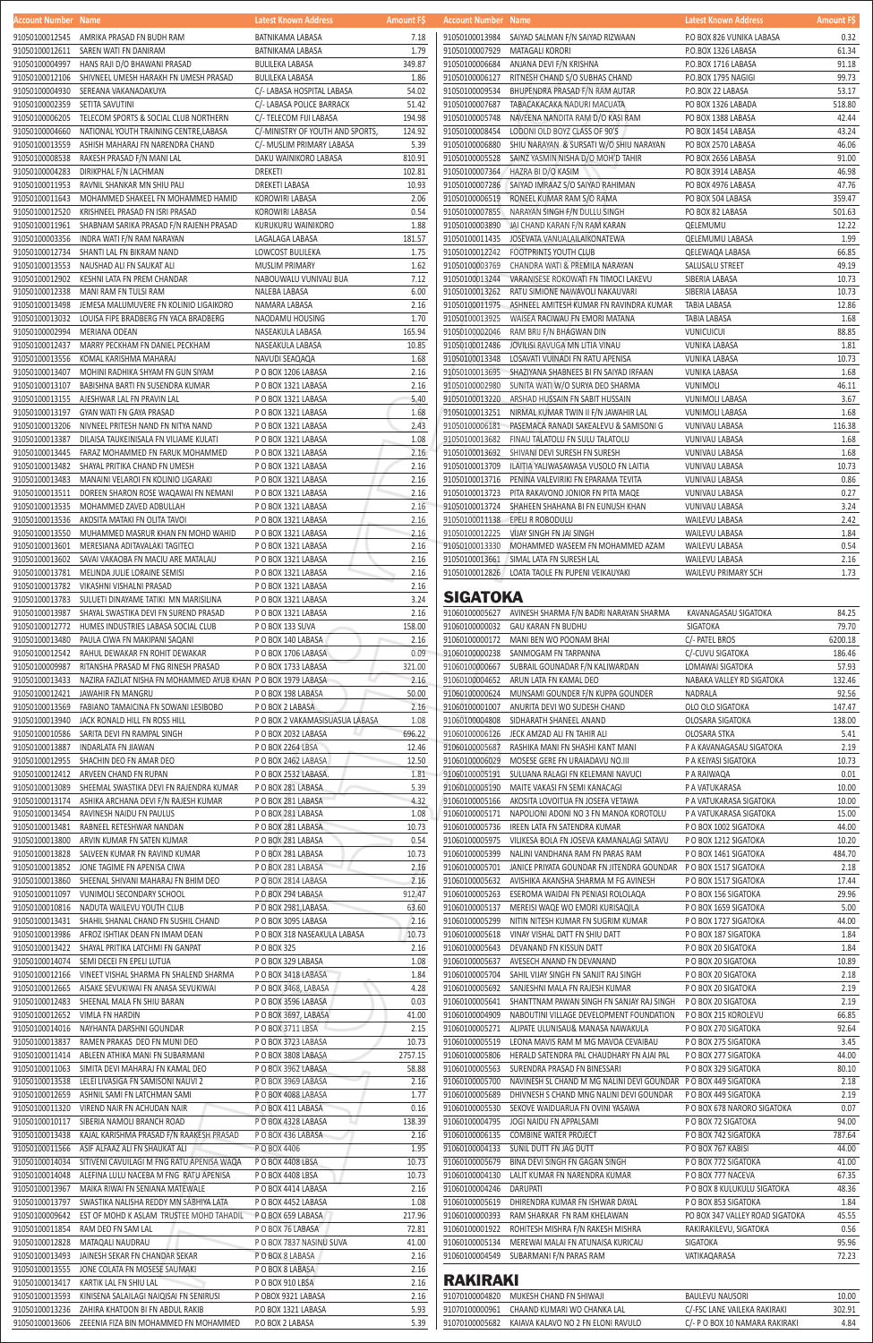| Account Number Name |                                                                | Latest Known Address             | <b>Amount FS</b> | Account Number Name |                                                                                | Latest Known Address            | <b>Amount FS</b> |
|---------------------|----------------------------------------------------------------|----------------------------------|------------------|---------------------|--------------------------------------------------------------------------------|---------------------------------|------------------|
|                     | 91050100012545 AMRIKA PRASAD FN BUDH RAM                       | BATNIKAMA LABASA                 | 7.18             |                     | 91050100013984 SAIYAD SALMAN F/N SAIYAD RIZWAAN                                | P.O BOX 826 VUNIKA LABASA       | 0.32             |
| 91050100012611      | SAREN WATI FN DANIRAM                                          | <b>BATNIKAMA LABASA</b>          | 1.79             | 91050100007929      | MATAGALI KORORI                                                                | P.O.BOX 1326 LABASA             | 61.34            |
| 91050100004997      | HANS RAJI D/O BHAWANI PRASAD                                   | <b>BULILEKA LABASA</b>           | 349.87           | 91050100006684      | ANJANA DEVI F/N KRISHNA                                                        | P.O.BOX 1716 LABASA             | 91.18            |
|                     |                                                                |                                  |                  |                     |                                                                                |                                 |                  |
| 91050100012106      | SHIVNEEL UMESH HARAKH FN UMESH PRASAD                          | <b>BULILEKA LABASA</b>           | 1.86             | 91050100006127      | RITNESH CHAND S/O SUBHAS CHAND                                                 | P.O.BOX 1795 NAGIGI             | 99.73            |
| 91050100004930      | SEREANA VAKANADAKUYA                                           | C/- LABASA HOSPITAL LABASA       | 54.02            | 91050100009534      | BHUPENDRA PRASAD F/N RAM AUTAR                                                 | P.O.BOX 22 LABASA               | 53.17            |
| 91050100002359      | SETITA SAVUTINI                                                | C/- LABASA POLICE BARRACK        | 51.42            | 91050100007687      | TABACAKACAKA NADURI MACUATA                                                    | PO BOX 1326 LABADA              | 518.80           |
| 91050100006205      | TELECOM SPORTS & SOCIAL CLUB NORTHERN                          | C/- TELECOM FIJI LABASA          | 194.98           | 91050100005748      | NAVEENA NANDITA RAM D/O KASI RAM                                               | PO BOX 1388 LABASA              | 42.44            |
| 91050100004660      | NATIONAL YOUTH TRAINING CENTRE,LABASA                          | C/-MINISTRY OF YOUTH AND SPORTS, | 124.92           | 91050100008454      | LODONI OLD BOYZ CLASS OF 90'S                                                  | PO BOX 1454 LABASA              | 43.24            |
| 91050100013559      | ASHISH MAHARAJ FN NARENDRA CHAND                               | C/- MUSLIM PRIMARY LABASA        | 5.39             | 91050100006880      | SHIU NARAYAN & SURSATI W/O SHIU NARAYAN                                        | PO BOX 2570 LABASA              | 46.06            |
|                     |                                                                |                                  |                  |                     |                                                                                |                                 |                  |
| 91050100008538      | RAKESH PRASAD F/N MANI LAL                                     | DAKU WAINIKORO LABASA            | 810.91           | 91050100005528      | SAINZ YASMIN NISHA D/O MOH'D TAHIR                                             | PO BOX 2656 LABASA              | 91.00            |
| 91050100004283      | DIRIKPHAL F/N LACHMAN                                          | <b>DREKETI</b>                   | 102.81           | 91050100007364      | HAZRA BI D/O KASIM                                                             | PO BOX 3914 LABASA              | 46.98            |
| 91050100011953      | RAVNIL SHANKAR MN SHIU PALI                                    | DREKETI LABASA                   | 10.93            |                     | 91050100007286 SAIYAD IMRAAZ S/O SAIYAD RAHIMAN                                | PO BOX 4976 LABASA              | 47.76            |
| 91050100011643      | MOHAMMED SHAKEEL FN MOHAMMED HAMID                             | KOROWIRI LABASA                  | 2.06             | 91050100006519      | RONEEL KUMAR RAM S/O RAMA                                                      | PO BOX 504 LABASA               | 359.47           |
| 91050100012520      | KRISHNEEL PRASAD FN ISRI PRASAD                                | KOROWIRI LABASA                  | 0.54             |                     | 91050100007855 NARAYAN SINGH F/N DULLU SINGH                                   | PO BOX 82 LABASA                | 501.63           |
|                     |                                                                |                                  | 1.88             | 91050100003890      |                                                                                |                                 | 12.22            |
|                     | 91050100011961 SHABNAM SARIKA PRASAD F/N RAJENH PRASAD         | KURUKURU WAINIKORO               |                  |                     | JAI CHAND KARAN F/N RAM KARAN                                                  | QELEMUMU                        |                  |
|                     | 91050100003356 INDRA WATI F/N RAM NARAYAN                      | LAGALAGA LABASA                  | 181.57           | 91050100011435      | JOSEVATA VANUALAILAIKONATEWA                                                   | QELEMUMU LABASA                 | 1.99             |
|                     | 91050100012734 SHANTI LAL FN BIKRAM NAND                       | LOWCOST BULILEKA                 | 1.75             |                     | 91050100012242 FOOTPRINTS YOUTH CLUB                                           | QELEWAQA LABASA                 | 66.85            |
| 91050100013553      | NAUSHAD ALI FN SAUKAT ALI                                      | <b>MUSLIM PRIMARY</b>            | 1.62             | 91050100003769      | CHANDRA WATI & PREMILA NARAYAN                                                 | SALUSALU STREET                 | 49.19            |
| 91050100012902      | KESHNI LATA FN PREM CHANDAR                                    | NABOUWALU VUNIVAU BUA            | 7.12             | 91050100013244      | VARANISESE ROKOWATI FN TIMOCI LAKEVU                                           | SIBERIA LABASA                  | 10.73            |
| 91050100012338      | MANI RAM FN TULSI RAM                                          | NALEBA LABASA                    | 6.00             | 91050100013262      | RATU SIMIONE NAWAVOLI NAKAUVARI                                                | SIBERIA LABASA                  | 10.73            |
|                     |                                                                |                                  |                  |                     |                                                                                |                                 |                  |
| 91050100013498      | JEMESA MALUMUVERE FN KOLINIO LIGAIKORO                         | NAMARA LABASA                    | 2.16             |                     | 91050100011975 ASHNEEL AMITESH KUMAR FN RAVINDRA KUMAR                         | TABIA LABASA                    | 12.86            |
| 91050100013032      | LOUISA FIPE BRADBERG FN YACA BRADBERG                          | NAODAMU HOUSING                  | 1.70             | 91050100013925      | WAISEA RACIWAU FN EMORI MATANA                                                 | TABIA LABASA                    | 1.68             |
| 91050100002994      | MERIANA ODEAN                                                  | NASEAKULA LABASA                 | 165.94           | 91050100002046      | RAM BRIJ F/N BHAGWAN DIN                                                       | <b>VUNICUICUI</b>               | 88.85            |
| 91050100012437      | MARRY PECKHAM FN DANIEL PECKHAM                                | NASEAKULA LABASA                 | 10.85            | 91050100012486      | JOVILISI RAVUGA MN LITIA VINAU                                                 | <b>VUNIKA LABASA</b>            | 1.81             |
|                     | 91050100013556 KOMAL KARISHMA MAHARAJ                          |                                  | 1.68             | 91050100013348      | LOSAVATI VUINADI FN RATU APENISA                                               | VUNIKA LABASA                   | 10.73            |
|                     |                                                                | NAVUDI SEAQAQA                   |                  |                     |                                                                                |                                 |                  |
| 91050100013407      | MOHINI RADHIKA SHYAM FN GUN SIYAM                              | P O BOX 1206 LABASA              | 2.16             |                     | 91050100013695 SHAZIYANA SHABNEES BI FN SAIYAD IRFAAN                          | VUNIKA LABASA                   | 1.68             |
| 91050100013107      | BABISHNA BARTI FN SUSENDRA KUMAR                               | P O BOX 1321 LABASA              | 2.16             | 91050100002980      | SUNITA WATI W/O SURYA DEO SHARMA                                               | <b>VUNIMOLI</b>                 | 46.11            |
|                     | 91050100013155 AJESHWAR LAL FN PRAVIN LAL                      | P O BOX 1321 LABASA              | 5.40             | 91050100013220      | ARSHAD HUSSAIN FN SABIT HUSSAIN                                                | <b>VUNIMOLI LABASA</b>          | 3.67             |
| 91050100013197      | GYAN WATI FN GAYA PRASAD                                       | P O BOX 1321 LABASA              | 1.68             |                     | 91050100013251 NIRMAL KUMAR TWIN II F/N JAWAHIR LAL                            | <b>VUNIMOLI LABASA</b>          | 1.68             |
| 91050100013206      | NIVNEEL PRITESH NAND FN NITYA NAND                             | P O BOX 1321 LABASA              | 2.43             |                     |                                                                                | <b>VUNIVAU LABASA</b>           | 116.38           |
|                     |                                                                |                                  |                  |                     |                                                                                |                                 |                  |
| 91050100013387      | DILAISA TAUKEINISALA FN VILIAME KULATI                         | P O BOX 1321 LABASA              | 1.08             | 91050100013682      | FINAU TALATOLU FN SULU TALATOLU                                                | VUNIVAU LABASA                  | 1.68             |
|                     | 91050100013445    FARAZ MOHAMMED FN FARUK MOHAMMED             | P O BOX 1321 LABASA              | 2.16             |                     | 91050100013692 SHIVANI DEVI SURESH FN SURESH                                   | VUNIVAU LABASA                  | 1.68             |
|                     | 91050100013482 SHAYAL PRITIKA CHAND FN UMESH                   | P O BOX 1321 LABASA              | 2.16             | 91050100013709      | ILAITIA YALIWASAWASA VUSOLO FN LAITIA                                          | VUNIVAU LABASA                  | 10.73            |
|                     | 91050100013483 MANAINI VELAROI FN KOLINIO LIGARAKI             | P O BOX 1321 LABASA              | 2.16             | 91050100013716      | PENINA VALEVIRIKI FN EPARAMA TEVITA                                            | VUNIVAU LABASA                  | 0.86             |
| 91050100013511      | DOREEN SHARON ROSE WAQAWAI FN NEMANI                           | P O BOX 1321 LABASA              | 2.16             | 91050100013723      | PITA RAKAVONO JONIOR FN PITA MAQE                                              | VUNIVAU LABASA                  | 0.27             |
|                     |                                                                |                                  |                  |                     |                                                                                |                                 |                  |
| 91050100013535      | MOHAMMED ZAVED ADBULLAH                                        | P O BOX 1321 LABASA              | 2.16             | 91050100013724      | SHAHEEN SHAHANA BI FN EUNUSH KHAN                                              | VUNIVAU LABASA                  | 3.24             |
|                     | 91050100013536 AKOSITA MATAKI FN OLITA TAVOI                   | P O BOX 1321 LABASA              | 2.16             |                     | 91050100011138 EPELI R ROBODULU                                                | WAILEVU LABASA                  | 2.42             |
|                     | 91050100013550 MUHAMMED MASRUR KHAN FN MOHD WAHID              | P O BOX 1321 LABASA              | 2.16             |                     | 91050100012225 VIJAY SINGH FN JAI SINGH                                        | WAILEVU LABASA                  | 1.84             |
|                     | 91050100013601 MERESIANA ADITAVALAKI TAGITECI                  | PO BOX 1321 LABASA               | 2.16             |                     | 91050100013330 MOHAMMED WASEEM FN MOHAMMED AZAM                                | WAILEVU LABASA                  | 0.54             |
|                     | 91050100013602 SAVAI VAKAOBA FN MACIU ARE MATALAU              | P O BOX 1321 LABASA              | 2.16             |                     | 91050100013661 SIMAL LATA FN SURESH LAL                                        | WAILEVU LABASA                  | 2.16             |
|                     |                                                                |                                  |                  |                     |                                                                                |                                 |                  |
|                     | 91050100013781 MELINDA JULIE LORAINE SEMISI                    | P O BOX 1321 LABASA              | 2.16             |                     | 91050100012826 LOATA TAOLE FN PUPENI VEIKAUYAKI                                | WAILEVU PRIMARY SCH             | 1.73             |
|                     | 91050100013782 VIKASHNI VISHALNI PRASAD                        | P O BOX 1321 LABASA              | 2.16             |                     |                                                                                |                                 |                  |
| 91050100013783      | SULUETI DINAYAME TATIKI MN MARISILINA                          | P O BOX 1321 LABASA              | 3.24             | <b>SIGATOKA</b>     |                                                                                |                                 |                  |
| 91050100013987      | SHAYAL SWASTIKA DEVI FN SUREND PRASAD                          | P O BOX 1321 LABASA              | 2.16             |                     | 91060100005627 AVINESH SHARMA F/N BADRI NARAYAN SHARMA                         | KAVANAGASAU SIGATOKA            | 84.25            |
| 91050100012772      | HUMES INDUSTRIES LABASA SOCIAL CLUB                            | PO BOX 133 SUVA                  | 158.00           | 91060100000032      | <b>GAU KARAN FN BUDHU</b>                                                      | <b>SIGATOKA</b>                 | 79.70            |
| 91050100013480      | PAULA CIWA FN MAKIPANI SAQANI                                  | PO BOX 140 LABASA                | 2.16             |                     | 91060100000172 MANI BEN WO POONAM BHAI                                         | C/- PATEL BROS                  | 6200.18          |
|                     |                                                                |                                  |                  |                     |                                                                                |                                 |                  |
|                     | 91050100012542 RAHUL DEWAKAR FN ROHIT DEWAKAR                  | PO BOX 1706 LABASA               | 0.09             |                     | 91060100000238 SANMOGAM FN TARPANNA                                            | C/-CUVU SIGATOKA                | 186.46           |
| 91050100009987      | RITANSHA PRASAD M FNG RINESH PRASAD                            | P O BOX 1733 LABASA              | 321.00           | 91060100000667      | SUBRAIL GOUNADAR F/N KALIWARDAN                                                | LOMAWAI SIGATOKA                | 57.93            |
| 91050100013433      | NAZIRA FAZILAT NISHA FN MOHAMMED AYUB KHAN P O BOX 1979 LABASA |                                  | 2.16             |                     | 91060100004652 ARUN LATA FN KAMAL DEO                                          | NABAKA VALLEY RD SIGATOKA       | 132.46           |
| 91050100012421      | JAWAHIR FN MANGRU                                              | P O BOX 198 LABASA               | 50.00            |                     | 91060100000624 MUNSAMI GOUNDER F/N KUPPA GOUNDER                               | NADRALA                         | 92.56            |
|                     | 91050100013569    FABIANO TAMAICINA FN SOWANI LESIBOBO         | P O BOX 2 LABASA                 | 2.16             | 91060100001007      | ANURITA DEVI WO SUDESH CHAND                                                   | OLO OLO SIGATOKA                | 147.47           |
|                     |                                                                |                                  |                  |                     |                                                                                |                                 |                  |
|                     | 91050100013940 JACK RONALD HILL FN ROSS HILL                   | P O BOX 2 VAKAMASISUASUA LABASA  | 1.08             | 91060100004808      | SIDHARATH SHANEEL ANAND                                                        | OLOSARA SIGATOKA                | 138.00           |
|                     | 91050100010586 SARITA DEVI FN RAMPAL SINGH                     | P O BOX 2032 LABASA              | 696.22           | 91060100006126      | JECK AMZAD ALI FN TAHIR ALI                                                    | OLOSARA STKA                    | 5.41             |
| 91050100013887      | INDARLATA FN JIAWAN                                            | PO BOX 2264 LBSA                 | 12.46            | 91060100005687      | RASHIKA MANI FN SHASHI KANT MANI                                               | P A KAVANAGASAU SIGATOKA        | 2.19             |
|                     | 91050100012955 SHACHIN DEO FN AMAR DEO                         | P O BOX 2462 LABASA              | 12.50            | 91060100006029      | MOSESE GERE FN URAIADAVU NO.III                                                | P A KEIYASI SIGATOKA            | 10.73            |
|                     | 91050100012412 ARVEEN CHAND FN RUPAN                           | P O BOX 2532 LABASA.             | 1.81             | 91060100005191      | SULUANA RALAGI FN KELEMANI NAVUCI                                              | P A RAIWAQA                     | 0.01             |
|                     |                                                                |                                  | 5.39             |                     |                                                                                |                                 | 10.00            |
|                     | 91050100013089 SHEEMAL SWASTIKA DEVI FN RAJENDRA KUMAR         | P O BOX 281 LABASA               |                  | 91060100005190      | MAITE VAKASI FN SEMI KANACAGI                                                  | P A VATUKARASA                  |                  |
|                     | 91050100013174 ASHIKA ARCHANA DEVI F/N RAJESH KUMAR            | P O BOX 281 LABASA               | 4.32             | 91060100005166      | AKOSITA LOVOITUA FN JOSEFA VETAWA                                              | P A VATUKARASA SIGATOKA         | 10.00            |
|                     | 91050100013454 RAVINESH NAIDU FN PAULUS                        | P O BOX 281 LABASA               | 1.08             |                     | 91060100005171 NAPOLIONI ADONI NO 3 FN MANOA KOROTOLU                          | P A VATUKARASA SIGATOKA         | 15.00            |
| 91050100013481      | RABNEEL RETESHWAR NANDAN                                       | PO BOX 281 LABASA                | 10.73            | 91060100005736      | IREEN LATA FN SATENDRA KUMAR                                                   | P O BOX 1002 SIGATOKA           | 44.00            |
| 91050100013800      | ARVIN KUMAR FN SATEN KUMAR                                     | PO BOX 281 LABASA                | 0.54             | 91060100005975      | VILIKESA BOLA FN JOSEVA KAMANALAGI SATAVU                                      | P O BOX 1212 SIGATOKA           | 10.20            |
| 91050100013828      | SALVEEN KUMAR FN RAVIND KUMAR                                  | PO BOX 281 LABASA                | 10.73            | 91060100005399      | NALINI VANDHANA RAM FN PARAS RAM                                               | P O BOX 1461 SIGATOKA           | 484.70           |
|                     |                                                                |                                  | 2.16             |                     |                                                                                |                                 | 2.18             |
|                     | 91050100013852 JONE TAGIME FN APENISA CIWA                     | P O BOX 281 LABASA               |                  | 91060100005701      | JANICE PRIYATA GOUNDAR FN JITENDRA GOUNDAR PO BOX 1517 SIGATOKA                |                                 |                  |
| 91050100013860      | SHEENAL SHIVANI MAHARAJ FN BHIM DEO                            | P O BOX 2814 LABASA              | 2.16             | 91060100005632      | AVISHIKA AKANSHA SHARMA M FG AVINESH                                           | P O BOX 1517 SIGATOKA           | 17.44            |
| 91050100011097      | VUNIMOLI SECONDARY SCHOOL                                      | PO BOX 294 LABASA                | 912.47           | 91060100005263      | ESEROMA WAIDAI FN PENIASI ROLOLAQA                                             | P O BOX 156 SIGATOKA            | 29.96            |
|                     | 91050100010816 NADUTA WAILEVU YOUTH CLUB                       | P O BOX 2981, LABASA.            | 63.60            | 91060100005137      | MEREISI WAQE WO EMORI KURISAQILA                                               | P O BOX 1659 SIGATOKA           | 5.00             |
|                     | 91050100013431 SHAHIL SHANAL CHAND FN SUSHIL CHAND             | P O BOX 3095 LABASA              | 2.16             | 91060100005299      | NITIN NITESH KUMAR FN SUGRIM KUMAR                                             | P O BOX 1727 SIGATOKA           | 44.00            |
|                     | 91050100013986 AFROZ ISHTIAK DEAN FN IMAM DEAN                 | P O BOX 318 NASEAKULA LABASA     | 10.73            | 91060100005618      | VINAY VISHAL DATT FN SHIU DATT                                                 | P O BOX 187 SIGATOKA            | 1.84             |
|                     | 91050100013422 SHAYAL PRITIKA LATCHMI FN GANPAT                | P O BOX 325                      | 2.16             | 91060100005643      | DEVANAND FN KISSUN DATT                                                        | P O BOX 20 SIGATOKA             | 1.84             |
|                     |                                                                |                                  |                  |                     |                                                                                |                                 |                  |
| 91050100014074      | SEMI DECEI FN EPELI LUTUA                                      | P O BOX 329 LABASA               | 1.08             | 91060100005637      | AVESECH ANAND FN DEVANAND                                                      | P O BOX 20 SIGATOKA             | 10.89            |
| 91050100012166      | VINEET VISHAL SHARMA FN SHALEND SHARMA                         | PO BOX 3418 LABASA               | 1.84             | 91060100005704      | SAHIL VIJAY SINGH FN SANJIT RAJ SINGH                                          | P O BOX 20 SIGATOKA             | 2.18             |
| 91050100012665      | AISAKE SEVUKIWAI FN ANASA SEVUKIWAI                            | P O BOX 3468, LABASA             | 4.28             | 91060100005692      | SANJESHNI MALA FN RAJESH KUMAR                                                 | P O BOX 20 SIGATOKA             | 2.19             |
| 91050100012483      | SHEENAL MALA FN SHIU BARAN                                     | P O BOX 3596 LABASA              | 0.03             |                     | 91060100005641 SHANTTNAM PAWAN SINGH FN SANJAY RAJ SINGH PO BOX 20 SIGATOKA    |                                 | 2.19             |
|                     | 91050100012652 VIMLA FN HARDIN                                 | POBOX 3697, LABASA               | 41.00            | 91060100004909      | NABOUTINI VILLAGE DEVELOPMENT FOUNDATION                                       | P O BOX 215 KOROLEVU            | 66.85            |
| 91050100014016      | NAYHANTA DARSHNI GOUNDAR                                       |                                  | 2.15             | 91060100005271      | ALIPATE ULUNISAU& MANASA NAWAKULA                                              | P O BOX 270 SIGATOKA            | 92.64            |
|                     |                                                                | P O BOX 3711 LBSA                |                  |                     |                                                                                |                                 |                  |
| 91050100013837      | RAMEN PRAKAS DEO FN MUNI DEO                                   | P O BOX 3723 LABASA              | 10.73            | 91060100005519      | LEONA MAVIS RAM M MG MAVOA CEVAIBAU                                            | P O BOX 275 SIGATOKA            | 3.45             |
| 91050100011414      | ABLEEN ATHIKA MANI FN SUBARMANI                                | P O BOX 3808 LABASA              | 2757.15          | 91060100005806      | HERALD SATENDRA PAL CHAUDHARY FN AJAI PAL                                      | P O BOX 277 SIGATOKA            | 44.00            |
|                     | 91050100011063 SIMITA DEVI MAHARAJ FN KAMAL DEO                | P O BOX 3962 LABASA              | 58.88            |                     | 91060100005563 SURENDRA PRASAD FN BINESSARI                                    | P O BOX 329 SIGATOKA            | 80.10            |
|                     | 91050100013538 LELEI LIVASIGA FN SAMISONI NAUVI 2              | PO BOX 3969 LABASA               | 2.16             |                     | 91060100005700 NAVINESH SL CHAND M MG NALINI DEVI GOUNDAR P O BOX 449 SIGATOKA |                                 | 2.18             |
| 91050100012659      | ASHNIL SAMI FN LATCHMAN SAMI                                   | P O BOX 4088 LABASA              | 1.77             | 91060100005689      | DHIVNESH S CHAND MNG NALINI DEVI GOUNDAR                                       | P O BOX 449 SIGATOKA            | 2.19             |
|                     |                                                                |                                  |                  | 91060100005530      |                                                                                |                                 |                  |
| 91050100011320      | VIREND NAIR FN ACHUDAN NAIR                                    | P O BOX 411 LABASA               | 0.16             |                     | SEKOVE WAIDUARUA FN OVINI YASAWA                                               | P O BOX 678 NARORO SIGATOKA     | 0.07             |
| 91050100010117      | SIBERIA NAMOLI BRANCH ROAD                                     | PO BOX 4328 LABASA<br>W          | 138.39           | 91060100004795      | JOGI NAIDU FN APPALSAMI                                                        | P O BOX 72 SIGATOKA             | 94.00            |
| 91050100013438      | KAJAL KARISHMA PRASAD F/N RAAKESH PRASAD                       | P O BOX 436 LABASA               | 2.16             | 91060100006135      | COMBINE WATER PROJECT                                                          | P O BOX 742 SIGATOKA            | 787.64           |
| 91050100011566      | ASIF ALFAAZ ALI FN SHAUKAT ALI                                 | P O BOX 4406                     | 1.95             |                     | 91060100004133 SUNIL DUTT FN JAG DUTT                                          | P O BOX 767 KABISI              | 44.00            |
| 91050100014034      | SITIVENI CAVUILAGI M FNG RATU APENISA WAQA                     | P O BOX 4408 LBSA                | 10.73            | 91060100005679      | BINA DEVI SINGH FN GAGAN SINGH                                                 | P O BOX 772 SIGATOKA            | 41.00            |
| 91050100014048      | ALEFINA LULU NACEBA M FNG RATU APENISA                         | P O BOX 4408 LBSA                | 10.73            | 91060100004130      | LALIT KUMAR FN NARENDRA KUMAR                                                  | P O BOX 777 NACEVA              | 67.35            |
|                     |                                                                |                                  |                  |                     |                                                                                |                                 |                  |
| 91050100013967      | MAIKA RIWAI FN SENIANA MATEWALE                                | P O BOX 4414 LABASA              | 2.16             | 91060100004246      | DARUPATI                                                                       | P O BOX 8 KULUKULU SIGATOKA     | 48.36            |
| 91050100013797      | SWASTIKA NALISHA REDDY MN SABHIYA LATA                         | P O BOX 4452 LABASA              | 1.08             | 91060100005619      | DHIRENDRA KUMAR FN ISHWAR DAYAL                                                | P O BOX 853 SIGATOKA            | 1.84             |
| 91050100009642      | EST OF MOHD K ASLAM TRUSTEE MOHD TAHADIL                       | P O BOX 659 LABASA               | 217.96           | 91060100000393      | RAM SHARKAR FN RAM KHELAWAN                                                    | PO BOX 347 VALLEY ROAD SIGATOKA | 45.55            |
| 91050100011854      | RAM DEO FN SAM LAL                                             | P O BOX 76 LABASA                | 72.81            | 91060100001922      | ROHITESH MISHRA F/N RAKESH MISHRA                                              | RAKIRAKILEVU, SIGATOKA          | 0.56             |
| 91050100012828      | MATAQALI NAUDRAU                                               | P O BOX 7837 NASINU SUVA         | 41.00            | 91060100005134      | MEREWAI MALAI FN ATUNAISA KURICAU                                              | SIGATOKA                        | 95.96            |
|                     |                                                                |                                  |                  |                     |                                                                                |                                 |                  |
| 91050100013493      | JAINESH SEKAR FN CHANDAR SEKAR                                 | P O BOX 8 LABASA                 | 2.16             | 91060100004549      | SUBARMANI F/N PARAS RAM                                                        | VATIKAQARASA                    | 72.23            |
| 91050100013555      | JONE COLATA FN MOSESE SAUMAKI                                  | P O BOX 8 LABASA                 | 2.16             |                     |                                                                                |                                 |                  |
| 91050100013417      | KARTIK LAL FN SHIU LAL                                         | PO BOX 910 LBSA                  | 2.16             | <b>RAKIRAKI</b>     |                                                                                |                                 |                  |
| 91050100013593      | KINISENA SALAILAGI NAIQISAI FN SENIRUSI                        | P OBOX 9321 LABASA               | 2.16             | 91070100004820      | MUKESH CHAND FN SHIWAJI                                                        | <b>BAULEVU NAUSORI</b>          | 10.00            |
| 91050100013236      | ZAHIRA KHATOON BI FN ABDUL RAKIB                               | P.O BOX 1321 LABASA              | 5.93             | 91070100000961      | CHAAND KUMARI WO CHANKA LAL                                                    | C/-FSC LANE VAILEKA RAKIRAKI    | 302.91           |
| 91050100013606      | ZEEENIA FIZA BIN MOHAMMED FN MOHAMMED                          | P.O BOX 2 LABASA                 | 5.39             | 91070100005682      | KAIAVA KALAVO NO 2 FN ELONI RAVULO                                             | C/- P O BOX 10 NAMARA RAKIRAKI  | 4.84             |
|                     |                                                                |                                  |                  |                     |                                                                                |                                 |                  |